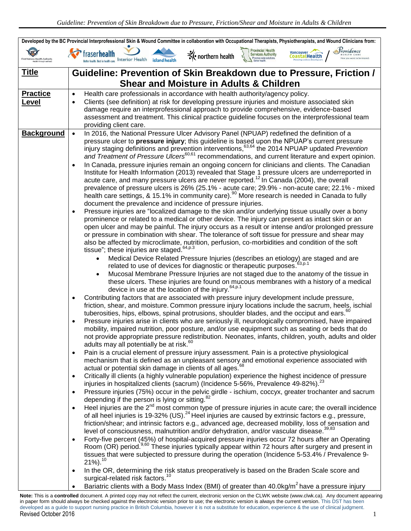| Developed by the BC Provincial Interprofessional Skin & Wound Committee in collaboration with Occupational Therapists, Physiotherapists, and Wound Clinicians from: |                                                                                                                                                                                                                                                       |  |  |  |  |  |  |  |  |
|---------------------------------------------------------------------------------------------------------------------------------------------------------------------|-------------------------------------------------------------------------------------------------------------------------------------------------------------------------------------------------------------------------------------------------------|--|--|--|--|--|--|--|--|
| First Nations Health Authorit                                                                                                                                       | Providence<br><b>Provincial Health</b><br>Services Authority<br>Vancouver $\rightarrow$<br>fraser <b>health</b><br>$\mathcal{K}$ northern health<br>CoastalHealth<br>Province-wide solutions<br>Best in health care. Interior Health<br>island health |  |  |  |  |  |  |  |  |
| <b>Title</b>                                                                                                                                                        | Guideline: Prevention of Skin Breakdown due to Pressure, Friction /                                                                                                                                                                                   |  |  |  |  |  |  |  |  |
|                                                                                                                                                                     | <b>Shear and Moisture in Adults &amp; Children</b>                                                                                                                                                                                                    |  |  |  |  |  |  |  |  |
| <b>Practice</b>                                                                                                                                                     |                                                                                                                                                                                                                                                       |  |  |  |  |  |  |  |  |
| <u>Level</u>                                                                                                                                                        | Health care professionals in accordance with health authority/agency policy.<br>$\bullet$                                                                                                                                                             |  |  |  |  |  |  |  |  |
|                                                                                                                                                                     | Clients (see definition) at risk for developing pressure injuries and moisture associated skin<br>$\bullet$<br>damage require an interprofessional approach to provide comprehensive, evidence-based                                                  |  |  |  |  |  |  |  |  |
|                                                                                                                                                                     | assessment and treatment. This clinical practice guideline focuses on the interprofessional team                                                                                                                                                      |  |  |  |  |  |  |  |  |
|                                                                                                                                                                     | providing client care.                                                                                                                                                                                                                                |  |  |  |  |  |  |  |  |
| <b>Background</b>                                                                                                                                                   | In 2016, the National Pressure Ulcer Advisory Panel (NPUAP) redefined the definition of a<br>$\bullet$                                                                                                                                                |  |  |  |  |  |  |  |  |
|                                                                                                                                                                     | pressure ulcer to pressure injury; this guideline is based upon the NPUAP's current pressure<br>injury staging definitions and prevention interventions, <sup>63,64</sup> the 2014 NPUAP updated Prevention                                           |  |  |  |  |  |  |  |  |
|                                                                                                                                                                     | and Treatment of Pressure Ulcers <sup>60,61</sup> recommendations, and current literature and expert opinion.                                                                                                                                         |  |  |  |  |  |  |  |  |
|                                                                                                                                                                     | In Canada, pressure injuries remain an ongoing concern for clinicians and clients. The Canadian<br>$\bullet$                                                                                                                                          |  |  |  |  |  |  |  |  |
|                                                                                                                                                                     | Institute for Health Information (2013) revealed that Stage 1 pressure ulcers are underreported in                                                                                                                                                    |  |  |  |  |  |  |  |  |
|                                                                                                                                                                     | acute care, and many pressure ulcers are never reported. <sup>12</sup> In Canada (2004), the overall                                                                                                                                                  |  |  |  |  |  |  |  |  |
|                                                                                                                                                                     | prevalence of pressure ulcers is 26% (25.1% - acute care; 29.9% - non-acute care; 22.1% - mixed<br>health care settings, & 15.1% in community care). <sup>90</sup> More research is needed in Canada to fully                                         |  |  |  |  |  |  |  |  |
|                                                                                                                                                                     | document the prevalence and incidence of pressure injuries.                                                                                                                                                                                           |  |  |  |  |  |  |  |  |
|                                                                                                                                                                     | Pressure injuries are "localized damage to the skin and/or underlying tissue usually over a bony<br>$\bullet$                                                                                                                                         |  |  |  |  |  |  |  |  |
|                                                                                                                                                                     | prominence or related to a medical or other device. The injury can present as intact skin or an                                                                                                                                                       |  |  |  |  |  |  |  |  |
|                                                                                                                                                                     | open ulcer and may be painful. The injury occurs as a result or intense and/or prolonged pressure                                                                                                                                                     |  |  |  |  |  |  |  |  |
|                                                                                                                                                                     | or pressure in combination with shear. The tolerance of soft tissue for pressure and shear may                                                                                                                                                        |  |  |  |  |  |  |  |  |
|                                                                                                                                                                     | also be affected by microclimate, nutrition, perfusion, co-morbidities and condition of the soft<br>tissue"; these injuries are staged. <sup>64,p.3</sup>                                                                                             |  |  |  |  |  |  |  |  |
|                                                                                                                                                                     | Medical Device Related Pressure Injuries (describes an etiology) are staged and are<br>$\bullet$                                                                                                                                                      |  |  |  |  |  |  |  |  |
|                                                                                                                                                                     | related to use of devices for diagnostic or therapeutic purposes. <sup>63,p.1</sup>                                                                                                                                                                   |  |  |  |  |  |  |  |  |
|                                                                                                                                                                     | Mucosal Membrane Pressure Injuries are not staged due to the anatomy of the tissue in<br>$\bullet$                                                                                                                                                    |  |  |  |  |  |  |  |  |
|                                                                                                                                                                     | these ulcers. These injuries are found on mucous membranes with a history of a medical                                                                                                                                                                |  |  |  |  |  |  |  |  |
|                                                                                                                                                                     | device in use at the location of the injury. <sup>64,p.1</sup>                                                                                                                                                                                        |  |  |  |  |  |  |  |  |
|                                                                                                                                                                     | Contributing factors that are associated with pressure injury development include pressure,<br>$\bullet$<br>friction, shear, and moisture. Common pressure injury locations include the sacrum, heels, ischial                                        |  |  |  |  |  |  |  |  |
|                                                                                                                                                                     | tuberosities, hips, elbows, spinal protrusions, shoulder blades, and the occiput and ears. <sup>60</sup>                                                                                                                                              |  |  |  |  |  |  |  |  |
|                                                                                                                                                                     | Pressure injuries arise in clients who are seriously ill, neurologically compromised, have impaired<br>$\bullet$                                                                                                                                      |  |  |  |  |  |  |  |  |
|                                                                                                                                                                     | mobility, impaired nutrition, poor posture, and/or use equipment such as seating or beds that do                                                                                                                                                      |  |  |  |  |  |  |  |  |
|                                                                                                                                                                     | not provide appropriate pressure redistribution. Neonates, infants, children, youth, adults and older                                                                                                                                                 |  |  |  |  |  |  |  |  |
|                                                                                                                                                                     | adults may all potentially be at risk. <sup>60</sup><br>Pain is a crucial element of pressure injury assessment. Pain is a protective physiological<br>$\bullet$                                                                                      |  |  |  |  |  |  |  |  |
|                                                                                                                                                                     | mechanism that is defined as an unpleasant sensory and emotional experience associated with                                                                                                                                                           |  |  |  |  |  |  |  |  |
|                                                                                                                                                                     | actual or potential skin damage in clients of all ages. <sup>68</sup>                                                                                                                                                                                 |  |  |  |  |  |  |  |  |
|                                                                                                                                                                     | Critically ill clients (a highly vulnerable population) experience the highest incidence of pressure<br>$\bullet$                                                                                                                                     |  |  |  |  |  |  |  |  |
|                                                                                                                                                                     | injuries in hospitalized clients (sacrum) (Incidence 5-56%, Prevalence 49-82%). <sup>23</sup>                                                                                                                                                         |  |  |  |  |  |  |  |  |
|                                                                                                                                                                     | Pressure injuries (75%) occur in the pelvic girdle - ischium, coccyx, greater trochanter and sacrum<br>$\bullet$<br>depending if the person is lying or sitting.                                                                                      |  |  |  |  |  |  |  |  |
|                                                                                                                                                                     | Heel injuries are the $2^{nd}$ most common type of pressure injuries in acute care; the overall incidence<br>$\bullet$                                                                                                                                |  |  |  |  |  |  |  |  |
|                                                                                                                                                                     | of all heel injuries is 19-32% (US). <sup>24</sup> Heel injuries are caused by extrinsic factors e.g., pressure,                                                                                                                                      |  |  |  |  |  |  |  |  |
| friction/shear; and intrinsic factors e.g., advanced age, decreased mobility, loss of sensation and                                                                 |                                                                                                                                                                                                                                                       |  |  |  |  |  |  |  |  |
|                                                                                                                                                                     | level of consciousness, malnutrition and/or dehydration, and/or vascular disease. <sup>39,83</sup>                                                                                                                                                    |  |  |  |  |  |  |  |  |
|                                                                                                                                                                     | Forty-five percent (45%) of hospital-acquired pressure injuries occur 72 hours after an Operating<br>$\bullet$                                                                                                                                        |  |  |  |  |  |  |  |  |
|                                                                                                                                                                     | Room (OR) period. <sup>9,60</sup> These injuries typically appear within 72 hours after surgery and present in<br>tissues that were subjected to pressure during the operation (Incidence 5-53.4% / Prevalence 9-                                     |  |  |  |  |  |  |  |  |
|                                                                                                                                                                     | $21\%$ ). <sup>10</sup>                                                                                                                                                                                                                               |  |  |  |  |  |  |  |  |
|                                                                                                                                                                     | In the OR, determining the risk status preoperatively is based on the Braden Scale score and<br>$\bullet$                                                                                                                                             |  |  |  |  |  |  |  |  |
|                                                                                                                                                                     | surgical-related risk factors. <sup>10</sup>                                                                                                                                                                                                          |  |  |  |  |  |  |  |  |
|                                                                                                                                                                     | Bariatric clients with a Body Mass Index (BMI) of greater than $40.0\text{kg/m}^2$ have a pressure injury<br>$\bullet$                                                                                                                                |  |  |  |  |  |  |  |  |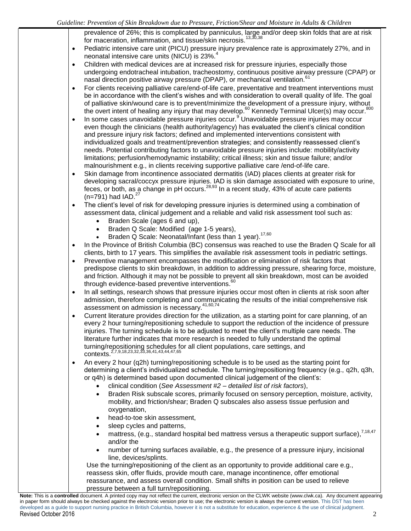- prevalence of 26%; this is complicated by panniculus, large and/or deep skin folds that are at risk for maceration, inflammation, and tissue/skin necrosis.<sup>13,30,38</sup>
- Pediatric intensive care unit (PICU) pressure injury prevalence rate is approximately 27%, and in neonatal intensive care units (NICU) is 23%. $^{4}$
- Children with medical devices are at increased risk for pressure injuries, especially those undergoing endotracheal intubation, tracheostomy, continuous positive airway pressure (CPAP) or nasal direction positive airway pressure (DPAP), or mechanical ventilation.<sup>61</sup>
- For clients receiving palliative care/end-of-life care, preventative and treatment interventions must be in accordance with the client's wishes and with consideration to overall quality of life. The goal of palliative skin/wound care is to prevent/minimize the development of a pressure injury, without the overt intent of healing any injury that may develop.<sup>60</sup> Kennedy Terminal Ulcer(s) may occur.<sup>800</sup>
- In some cases unavoidable pressure injuries occur. $9$  Unavoidable pressure injuries may occur even though the clinicians (health authority/agency) has evaluated the client's clinical condition and pressure injury risk factors; defined and implemented interventions consistent with individualized goals and treatment/prevention strategies; and consistently reassessed client's needs. Potential contributing factors to unavoidable pressure injuries include: mobility/activity limitations; perfusion/hemodynamic instability; critical illness; skin and tissue failure; and/or malnourishment e.g., in clients receiving supportive palliative care /end-of-life care.
- Skin damage from incontinence associated dermatitis (IAD) places clients at greater risk for developing sacral/coccyx pressure injuries. IAD is skin damage associated with exposure to urine, feces, or both, as a change in pH occurs.<sup>28,93</sup> In a recent study, 43% of acute care patients  $(n=791)$  had IAD.<sup>27</sup>
- The client's level of risk for developing pressure injuries is determined using a combination of assessment data, clinical judgement and a reliable and valid risk assessment tool such as:
	- Braden Scale (ages 6 and up),
	- Braden Q Scale: Modified (age 1-5 years),
	- Braden Q Scale: Neonatal/Infant (less than 1 year).<sup>17,60</sup>
- In the Province of British Columbia (BC) consensus was reached to use the Braden Q Scale for all clients, birth to 17 years. This simplifies the available risk assessment tools in pediatric settings.
- Preventive management encompasses the modification or elimination of risk factors that predispose clients to skin breakdown, in addition to addressing pressure, shearing force, moisture, and friction. Although it may not be possible to prevent all skin breakdown, most can be avoided through evidence-based preventive interventions.<sup>60</sup>
- In all settings, research shows that pressure injuries occur most often in clients at risk soon after admission, therefore completing and communicating the results of the initial comprehensive risk assessment on admission is necessary.<sup>41,60,74</sup>
- Current literature provides direction for the utilization, as a starting point for care planning, of an every 2 hour turning/repositioning schedule to support the reduction of the incidence of pressure injuries. The turning schedule is to be adjusted to meet the client's multiple care needs. The literature further indicates that more research is needed to fully understand the optimal turning/repositioning schedules for all client populations, care settings, and contexts.2,7,9,18,23,32,33,36,41,43,44,47,65
- An every 2 hour (q2h) turning/repositioning schedule is to be used as the starting point for determining a client's individualized schedule. The turning/repositioning frequency (e.g., q2h, q3h, or q4h) is determined based upon documented clinical judgement of the client's:
	- clinical condition (*See Assessment #2 – detailed list of risk factors*),
	- Braden Risk subscale scores, primarily focused on sensory perception, moisture, activity, mobility, and friction/shear; Braden Q subscales also assess tissue perfusion and oxygenation,
	- head-to-toe skin assessment,
	- sleep cycles and patterns,
	- mattress, (e.g., standard hospital bed mattress versus a therapeutic support surface),  $^{7,18,47}$ and/or the
	- number of turning surfaces available, e.g., the presence of a pressure injury, incisional line, devices/splints.

Use the turning/repositioning of the client as an opportunity to provide additional care e.g., reassess skin, offer fluids, provide mouth care, manage incontinence, offer emotional reassurance, and assess overall condition. Small shifts in position can be used to relieve pressure between a full turn/repositioning.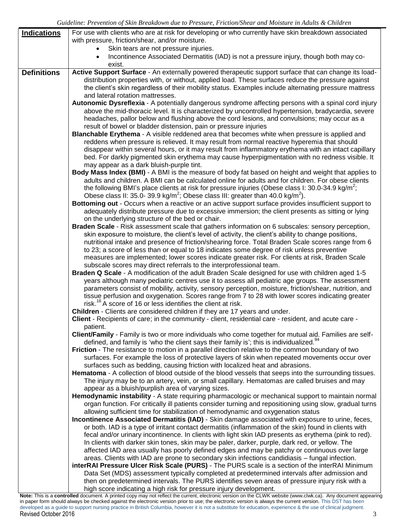| <b>Indications</b> | For use with clients who are at risk for developing or who currently have skin breakdown associated                                                                                                        |
|--------------------|------------------------------------------------------------------------------------------------------------------------------------------------------------------------------------------------------------|
|                    | with pressure, friction/shear, and/or moisture.                                                                                                                                                            |
|                    | Skin tears are not pressure injuries.                                                                                                                                                                      |
|                    | Incontinence Associated Dermatitis (IAD) is not a pressure injury, though both may co-<br>exist.                                                                                                           |
| <b>Definitions</b> | Active Support Surface - An externally powered therapeutic support surface that can change its load-                                                                                                       |
|                    | distribution properties with, or without, applied load. These surfaces reduce the pressure against                                                                                                         |
|                    | the client's skin regardless of their mobility status. Examples include alternating pressure mattress                                                                                                      |
|                    | and lateral rotation mattresses.                                                                                                                                                                           |
|                    | Autonomic Dysreflexia - A potentially dangerous syndrome affecting persons with a spinal cord injury                                                                                                       |
|                    | above the mid-thoracic level. It is characterized by uncontrolled hypertension, bradycardia, severe                                                                                                        |
|                    | headaches, pallor below and flushing above the cord lesions, and convulsions; may occur as a<br>result of bowel or bladder distension, pain or pressure injuries                                           |
|                    | Blanchable Erythema - A visible reddened area that becomes white when pressure is applied and                                                                                                              |
|                    | reddens when pressure is relieved. It may result from normal reactive hyperemia that should                                                                                                                |
|                    | disappear within several hours, or it may result from inflammatory erythema with an intact capillary                                                                                                       |
|                    | bed. For darkly pigmented skin erythema may cause hyperpigmentation with no redness visible. It                                                                                                            |
|                    | may appear as a dark bluish-purple tint.                                                                                                                                                                   |
|                    | Body Mass Index (BMI) - A BMI is the measure of body fat based on height and weight that applies to                                                                                                        |
|                    | adults and children. A BMI can be calculated online for adults and for children. For obese clients                                                                                                         |
|                    | the following BMI's place clients at risk for pressure injuries (Obese class I: 30.0-34.9 kg/m <sup>2</sup> ;                                                                                              |
|                    | Obese class II: 35.0-39.9 kg/m <sup>2</sup> ; Obese class III: greater than 40.0 kg/m <sup>2</sup> ).                                                                                                      |
|                    | Bottoming out - Occurs when a reactive or an active support surface provides insufficient support to                                                                                                       |
|                    | adequately distribute pressure due to excessive immersion; the client presents as sitting or lying                                                                                                         |
|                    | on the underlying structure of the bed or chair.                                                                                                                                                           |
|                    | Braden Scale - Risk assessment scale that gathers information on 6 subscales: sensory perception,<br>skin exposure to moisture, the client's level of activity, the client's ability to change positions,  |
|                    | nutritional intake and presence of friction/shearing force. Total Braden Scale scores range from 6                                                                                                         |
|                    | to 23; a score of less than or equal to 18 indicates some degree of risk unless preventive                                                                                                                 |
|                    | measures are implemented; lower scores indicate greater risk. For clients at risk, Braden Scale                                                                                                            |
|                    | subscale scores may direct referrals to the interprofessional team.                                                                                                                                        |
|                    | Braden Q Scale - A modification of the adult Braden Scale designed for use with children aged 1-5                                                                                                          |
|                    | years although many pediatric centres use it to assess all pediatric age groups. The assessment                                                                                                            |
|                    | parameters consist of mobility, activity, sensory perception, moisture, friction/shear, nutrition, and                                                                                                     |
|                    | tissue perfusion and oxygenation. Scores range from 7 to 28 with lower scores indicating greater                                                                                                           |
|                    | risk. <sup>16</sup> A score of 16 or less identifies the client at risk.                                                                                                                                   |
|                    | Children - Clients are considered children if they are 17 years and under.                                                                                                                                 |
|                    | Client - Recipients of care; in the community - client, residential care - resident, and acute care -                                                                                                      |
|                    | patient.<br>Client/Family - Family is two or more individuals who come together for mutual aid. Families are self-                                                                                         |
|                    | defined, and family is 'who the client says their family is'; this is individualized. <sup>94</sup>                                                                                                        |
|                    | Friction - The resistance to motion in a parallel direction relative to the common boundary of two                                                                                                         |
|                    | surfaces. For example the loss of protective layers of skin when repeated movements occur over                                                                                                             |
|                    | surfaces such as bedding, causing friction with localized heat and abrasions.                                                                                                                              |
|                    | Hematoma - A collection of blood outside of the blood vessels that seeps into the surrounding tissues.                                                                                                     |
|                    | The injury may be to an artery, vein, or small capillary. Hematomas are called bruises and may                                                                                                             |
|                    | appear as a bluish/purplish area of varying sizes.                                                                                                                                                         |
|                    | Hemodynamic instability - A state requiring pharmacologic or mechanical support to maintain normal                                                                                                         |
|                    | organ function. For critically ill patients consider turning and repositioning using slow, gradual turns                                                                                                   |
|                    | allowing sufficient time for stabilization of hemodynamic and oxygenation status                                                                                                                           |
|                    | Incontinence Associated Dermatitis (IAD) - Skin damage associated with exposure to urine, feces,<br>or both. IAD is a type of irritant contact dermatitis (inflammation of the skin) found in clients with |
|                    | fecal and/or urinary incontinence. In clients with light skin IAD presents as erythema (pink to red).                                                                                                      |
|                    | In clients with darker skin tones, skin may be paler, darker, purple, dark red, or yellow. The                                                                                                             |
|                    | affected IAD area usually has poorly defined edges and may be patchy or continuous over large                                                                                                              |
|                    | areas. Clients with IAD are prone to secondary skin infections candidiasis - fungal infection.                                                                                                             |
|                    | interRAI Pressure Ulcer Risk Scale (PURS) - The PURS scale is a section of the interRAI Minimum                                                                                                            |
|                    | Data Set (MDS) assessment typically completed at predetermined intervals after admission and                                                                                                               |
|                    | then on predetermined intervals. The PURS identifies seven areas of pressure injury risk with a                                                                                                            |
|                    | high score indicating a high risk for pressure injury development.                                                                                                                                         |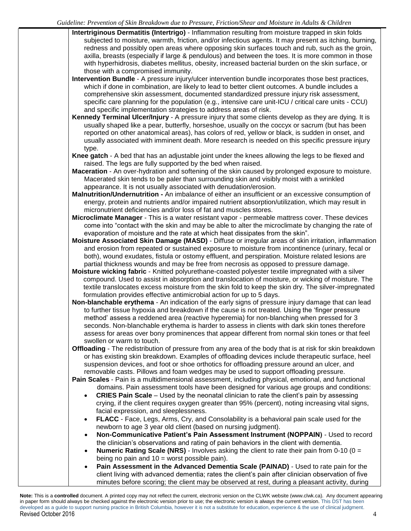- **Intertriginous Dermatitis (Intertrigo)** Inflammation resulting from moisture trapped in skin folds subjected to moisture, warmth, friction, and/or infectious agents. It may present as itching, burning, redness and possibly open areas where opposing skin surfaces touch and rub, such as the groin, axilla, breasts (especially if large & pendulous) and between the toes. It is more common in those with hyperhidrosis, diabetes mellitus, obesity, increased bacterial burden on the skin surface, or those with a compromised immunity.
- **Intervention Bundle**  A pressure injury/ulcer intervention bundle incorporates those best practices, which if done in combination, are likely to lead to better client outcomes. A bundle includes a comprehensive skin assessment, documented standardized pressure injury risk assessment, specific care planning for the population (e.g., intensive care unit-ICU / critical care units - CCU) and specific implementation strategies to address areas of risk.
- **Kennedy Terminal Ulcer/Injury** A pressure injury that some clients develop as they are dying. It is usually shaped like a pear, butterfly, horseshoe, usually on the coccyx or sacrum (but has been reported on other anatomical areas), has colors of red, yellow or black, is sudden in onset, and usually associated with imminent death. More research is needed on this specific pressure injury type.
- **Knee gatch**  A bed that has an adjustable joint under the knees allowing the legs to be flexed and raised. The legs are fully supported by the bed when raised.
- **Maceration**  An over-hydration and softening of the skin caused by prolonged exposure to moisture. Macerated skin tends to be paler than surrounding skin and visibly moist with a wrinkled appearance. It is not usually associated with denudation/erosion.
- **Malnutrition/Undernutrition -** An imbalance of either an insufficient or an excessive consumption of energy, protein and nutrients and/or impaired nutrient absorption/utilization, which may result in micronutrient deficiencies and/or loss of fat and muscles stores.
- **Microclimate Manager**  This is a water resistant vapor permeable mattress cover. These devices come into "contact with the skin and may be able to alter the microclimate by changing the rate of evaporation of moisture and the rate at which heat dissipates from the skin".
- **Moisture Associated Skin Damage (MASD)**  Diffuse or irregular areas of skin irritation, inflammation and erosion from repeated or sustained exposure to moisture from incontinence (urinary, fecal or both), wound exudates, fistula or ostomy effluent, and perspiration. Moisture related lesions are partial thickness wounds and may be free from necrosis as opposed to pressure damage.
- **Moisture wicking fabric** Knitted polyurethane-coasted polyester textile impregnated with a silver compound. Used to assist in absorption and translocation of moisture, or wicking of moisture. The textile translocates excess moisture from the skin fold to keep the skin dry. The silver-impregnated formulation provides effective antimicrobial action for up to 5 days.
- **Non-blanchable erythema** An indication of the early signs of pressure injury damage that can lead to further tissue hypoxia and breakdown if the cause is not treated. Using the 'finger pressure method' assess a reddened area (reactive hyperemia) for non-blanching when pressed for 3 seconds. Non-blanchable erythema is harder to assess in clients with dark skin tones therefore assess for areas over bony prominences that appear different from normal skin tones or that feel swollen or warm to touch.

**Offloading** - The redistribution of pressure from any area of the body that is at risk for skin breakdown or has existing skin breakdown. Examples of offloading devices include therapeutic surface, heel suspension devices, and foot or shoe orthotics for offloading pressure around an ulcer, and removable casts. Pillows and foam wedges may be used to support offloading pressure.

**Pain Scales** - Pain is a multidimensional assessment, including physical, emotional, and functional domains. Pain assessment tools have been designed for various age groups and conditions:

- **CRIES Pain Scale**  Used by the neonatal clinician to rate the client's pain by assessing crying, if the client requires oxygen greater than 95% (percent), noting increasing vital signs, facial expression, and sleeplessness.
- **FLACC**  Face, Legs, Arms, Cry, and Consolability is a behavioral pain scale used for the newborn to age 3 year old client (based on nursing judgment).
- **Non-Communicative Patient's Pain Assessment Instrument (NOPPAIN)** Used to record the clinician's observations and rating of pain behaviors in the client with dementia.
- **Numeric Rating Scale (NRS)** Involves asking the client to rate their pain from 0-10 ( $0 =$ being no pain and  $10 =$  worst possible pain).
- **Pain Assessment in the Advanced Dementia Scale (PAINAD)** Used to rate pain for the client living with advanced dementia; rates the client's pain after clinician observation of five minutes before scoring; the client may be observed at rest, during a pleasant activity, during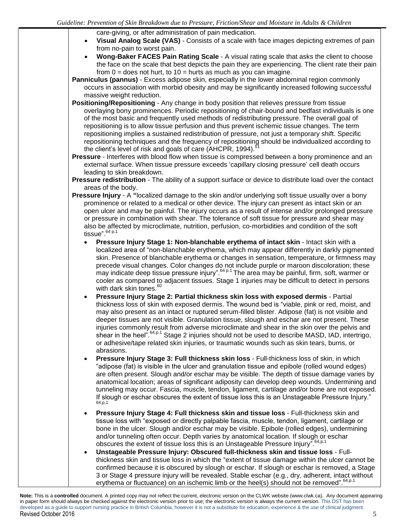care-giving, or after administration of pain medication.

- **Visual Analog Scale (VAS)** Consists of a scale with face images depicting extremes of pain from no-pain to worst pain.
- **Wong-Baker FACES Pain Rating Scale A visual rating scale that asks the client to choose** the face on the scale that best depicts the pain they are experiencing. The client rate their pain from  $0 =$  does not hurt, to  $10 =$  hurts as much as you can imagine.

**Panniculus (pannus)** - Excess adipose skin, especially in the lower abdominal region commonly occurs in association with morbid obesity and may be significantly increased following successful massive weight reduction.

- **Positioning/Repositioning** Any change in body position that relieves pressure from tissue overlaying bony prominences. Periodic repositioning of chair-bound and bedfast individuals is one of the most basic and frequently used methods of redistributing pressure. The overall goal of repositioning is to allow tissue perfusion and thus prevent ischemic tissue changes. The term repositioning implies a sustained redistribution of pressure, not just a temporary shift. Specific repositioning techniques and the frequency of repositioning should be individualized according to the client's level of risk and goals of care (AHCPR, 1994).
- **Pressure** Interferes with blood flow when tissue is compressed between a bony prominence and an external surface. When tissue pressure exceeds 'capillary closing pressure' cell death occurs leading to skin breakdown.
- **Pressure redistribution** The ability of a support surface or device to distribute load over the contact areas of the body.
- **Pressure Injury**  A **"**localized damage to the skin and/or underlying soft tissue usually over a bony prominence or related to a medical or other device. The injury can present as intact skin or an open ulcer and may be painful. The injury occurs as a result of intense and/or prolonged pressure or pressure in combination with shear. The tolerance of soft tissue for pressure and shear may also be affected by microclimate, nutrition, perfusion, co-morbidities and condition of the soft tissue".  $64 p.1$ 
	- **Pressure Injury Stage 1: Non-blanchable erythema of intact skin** Intact skin with a localized area of "non-blanchable erythema, which may appear differently in darkly pigmented skin. Presence of blanchable erythema or changes in sensation, temperature, or firmness may precede visual changes. Color changes do not include purple or maroon discoloration; these may indicate deep tissue pressure injury".<sup>64 p.1</sup> The area may be painful, firm, soft, warmer or cooler as compared to adjacent tissues. Stage 1 injuries may be difficult to detect in persons with dark skin tones.<sup>6</sup>
	- **Pressure Injury Stage 2: Partial thickness skin loss with exposed dermis** Partial thickness loss of skin with exposed dermis. The wound bed is "viable, pink or red, moist, and may also present as an intact or ruptured serum-filled blister. Adipose (fat) is not visible and deeper tissues are not visible. Granulation tissue, slough and eschar are not present. These injuries commonly result from adverse microclimate and shear in the skin over the pelvis and shear in the heel".<sup>64,p.1</sup> Stage 2 injuries should not be used to describe MASD, IAD, intertrigo, or adhesive/tape related skin injuries, or traumatic wounds such as skin tears, burns, or abrasions.
	- **Pressure Injury Stage 3: Full thickness skin loss** Full-thickness loss of skin, in which "adipose (fat) is visible in the ulcer and granulation tissue and epibole (rolled wound edges) are often present. Slough and/or eschar may be visible. The depth of tissue damage varies by anatomical location; areas of significant adiposity can develop deep wounds. Undermining and tunneling may occur. Fascia, muscle, tendon, ligament, cartilage and/or bone are not exposed. If slough or eschar obscures the extent of tissue loss this is an Unstageable Pressure Injury."<br><sup>64,p,1</sup>
	- **Pressure Injury Stage 4: Full thickness skin and tissue loss** Full-thickness skin and tissue loss with "exposed or directly palpable fascia, muscle, tendon, ligament, cartilage or bone in the ulcer. Slough and/or eschar may be visible. Epibole (rolled edges), undermining and/or tunneling often occur. Depth varies by anatomical location. If slough or eschar obscures the extent of tissue loss this is an Unstageable Pressure Injury". 64, p.1
	- **Unstageable Pressure Injury: Obscured full-thickness skin and tissue loss** Fullthickness skin and tissue loss in which the "extent of tissue damage within the ulcer cannot be confirmed because it is obscured by slough or eschar. If slough or eschar is removed, a Stage 3 or Stage 4 pressure injury will be revealed. Stable eschar (e.g., dry, adherent, intact without erythema or fluctuance) on an ischemic limb or the heel(s) should not be removed". 64,p.1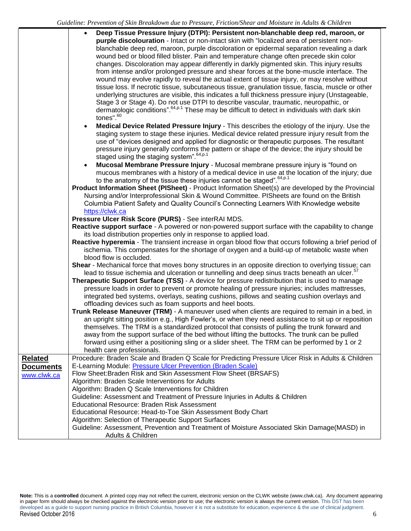|                                                                                                                  | $\bullet$ | Deep Tissue Pressure Injury (DTPI): Persistent non-blanchable deep red, maroon, or                         |  |
|------------------------------------------------------------------------------------------------------------------|-----------|------------------------------------------------------------------------------------------------------------|--|
|                                                                                                                  |           | purple discolouration - Intact or non-intact skin with "localized area of persistent non-                  |  |
|                                                                                                                  |           | blanchable deep red, maroon, purple discoloration or epidermal separation revealing a dark                 |  |
|                                                                                                                  |           | wound bed or blood filled blister. Pain and temperature change often precede skin color                    |  |
|                                                                                                                  |           | changes. Discoloration may appear differently in darkly pigmented skin. This injury results                |  |
|                                                                                                                  |           | from intense and/or prolonged pressure and shear forces at the bone-muscle interface. The                  |  |
|                                                                                                                  |           | wound may evolve rapidly to reveal the actual extent of tissue injury, or may resolve without              |  |
|                                                                                                                  |           | tissue loss. If necrotic tissue, subcutaneous tissue, granulation tissue, fascia, muscle or other          |  |
|                                                                                                                  |           | underlying structures are visible, this indicates a full thickness pressure injury (Unstageable,           |  |
|                                                                                                                  |           | Stage 3 or Stage 4). Do not use DTPI to describe vascular, traumatic, neuropathic, or                      |  |
|                                                                                                                  |           | dermatologic conditions". <sup>64,p.1</sup> These may be difficult to detect in individuals with dark skin |  |
|                                                                                                                  |           | tones". <sup>60</sup>                                                                                      |  |
|                                                                                                                  | $\bullet$ | Medical Device Related Pressure Injury - This describes the etiology of the injury. Use the                |  |
|                                                                                                                  |           | staging system to stage these injuries. Medical device related pressure injury result from the             |  |
|                                                                                                                  |           | use of "devices designed and applied for diagnostic or therapeutic purposes. The resultant                 |  |
|                                                                                                                  |           | pressure injury generally conforms the pattern or shape of the device; the injury should be                |  |
|                                                                                                                  |           | staged using the staging system". <sup>64,p.1</sup>                                                        |  |
|                                                                                                                  | $\bullet$ | Mucosal Membrane Pressure Injury - Mucosal membrane pressure injury is "found on                           |  |
|                                                                                                                  |           | mucous membranes with a history of a medical device in use at the location of the injury; due              |  |
|                                                                                                                  |           | to the anatomy of the tissue these injuries cannot be staged". 64,p.1                                      |  |
|                                                                                                                  |           | Product Information Sheet (PISheet) - Product Information Sheet(s) are developed by the Provincial         |  |
|                                                                                                                  |           | Nursing and/or Interprofessional Skin & Wound Committee. PISheets are found on the British                 |  |
|                                                                                                                  |           | Columbia Patient Safety and Quality Council's Connecting Learners With Knowledge website                   |  |
|                                                                                                                  |           | https://clwk.ca                                                                                            |  |
|                                                                                                                  |           | Pressure Ulcer Risk Score (PURS) - See interRAI MDS.                                                       |  |
|                                                                                                                  |           | Reactive support surface - A powered or non-powered support surface with the capability to change          |  |
| its load distribution properties only in response to applied load.                                               |           |                                                                                                            |  |
|                                                                                                                  |           | Reactive hyperemia - The transient increase in organ blood flow that occurs following a brief period of    |  |
| ischemia. This compensates for the shortage of oxygen and a build-up of metabolic waste when                     |           |                                                                                                            |  |
| blood flow is occluded.                                                                                          |           | Shear - Mechanical force that moves bony structures in an opposite direction to overlying tissue; can      |  |
|                                                                                                                  |           | lead to tissue ischemia and ulceration or tunnelling and deep sinus tracts beneath an ulcer. <sup>57</sup> |  |
|                                                                                                                  |           | <b>Therapeutic Support Surface (TSS)</b> - A device for pressure redistribution that is used to manage     |  |
|                                                                                                                  |           | pressure loads in order to prevent or promote healing of pressure injuries; includes mattresses,           |  |
|                                                                                                                  |           | integrated bed systems, overlays, seating cushions, pillows and seating cushion overlays and               |  |
| offloading devices such as foam supports and heel boots.                                                         |           |                                                                                                            |  |
|                                                                                                                  |           | Trunk Release Maneuver (TRM) - A maneuver used when clients are required to remain in a bed, in            |  |
|                                                                                                                  |           | an upright sitting position e.g., High Fowler's, or when they need assistance to sit up or reposition      |  |
|                                                                                                                  |           | themselves. The TRM is a standardized protocol that consists of pulling the trunk forward and              |  |
|                                                                                                                  |           | away from the support surface of the bed without lifting the buttocks. The trunk can be pulled             |  |
|                                                                                                                  |           | forward using either a positioning sling or a slider sheet. The TRM can be performed by 1 or 2             |  |
|                                                                                                                  |           | health care professionals.                                                                                 |  |
| <b>Related</b>                                                                                                   |           | Procedure: Braden Scale and Braden Q Scale for Predicting Pressure Ulcer Risk in Adults & Children         |  |
| <b>Documents</b>                                                                                                 |           | E-Learning Module: Pressure Ulcer Prevention (Braden Scale)                                                |  |
| www.clwk.ca                                                                                                      |           | Flow Sheet: Braden Risk and Skin Assessment Flow Sheet (BRSAFS)                                            |  |
|                                                                                                                  |           | Algorithm: Braden Scale Interventions for Adults                                                           |  |
|                                                                                                                  |           | Algorithm: Braden Q Scale Interventions for Children                                                       |  |
|                                                                                                                  |           | Guideline: Assessment and Treatment of Pressure Injuries in Adults & Children                              |  |
| <b>Educational Resource: Braden Risk Assessment</b>                                                              |           |                                                                                                            |  |
|                                                                                                                  |           | Educational Resource: Head-to-Toe Skin Assessment Body Chart                                               |  |
|                                                                                                                  |           | Algorithm: Selection of Therapeutic Support Surfaces                                                       |  |
| Guideline: Assessment, Prevention and Treatment of Moisture Associated Skin Damage(MASD) in<br>Adults & Children |           |                                                                                                            |  |
|                                                                                                                  |           |                                                                                                            |  |

**Note:** This is a **controlled** document. A printed copy may not reflect the current, electronic version on the CLWK website (www.clwk.ca). Any document appearing in paper form should always be checked against the electronic version prior to use; the electronic version is always the current version. This DST has been developed as a guide to support nursing practice in British Columbia, however it is not a substitute for education, experience & the use of clinical judgment. Revised October 2016 6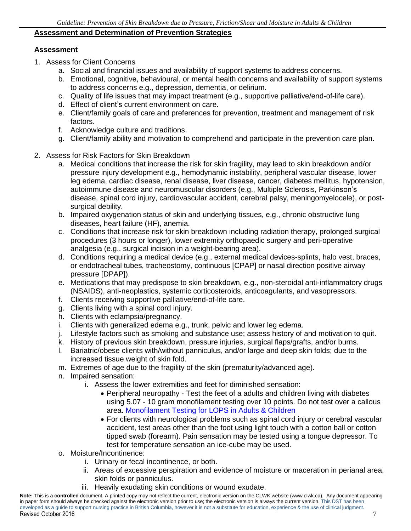#### **Assessment and Determination of Prevention Strategies**

#### **Assessment**

- 1. Assess for Client Concerns
	- a. Social and financial issues and availability of support systems to address concerns.
	- b. Emotional, cognitive, behavioural, or mental health concerns and availability of support systems to address concerns e.g., depression, dementia, or delirium.
	- c. Quality of life issues that may impact treatment (e.g., supportive palliative/end-of-life care).
	- d. Effect of client's current environment on care.
	- e. Client/family goals of care and preferences for prevention, treatment and management of risk factors.
	- f. Acknowledge culture and traditions.
	- g. Client/family ability and motivation to comprehend and participate in the prevention care plan.
- 2. Assess for Risk Factors for Skin Breakdown
	- a. Medical conditions that increase the risk for skin fragility, may lead to skin breakdown and/or pressure injury development e.g., hemodynamic instability, peripheral vascular disease, lower leg edema, cardiac disease, renal disease, liver disease, cancer, diabetes mellitus, hypotension, autoimmune disease and neuromuscular disorders (e.g., Multiple Sclerosis, Parkinson's disease, spinal cord injury, cardiovascular accident, cerebral palsy, meningomyelocele), or postsurgical debility.
	- b. Impaired oxygenation status of skin and underlying tissues, e.g., chronic obstructive lung diseases, heart failure (HF), anemia.
	- c. Conditions that increase risk for skin breakdown including radiation therapy, prolonged surgical procedures (3 hours or longer), lower extremity orthopaedic surgery and peri-operative analgesia (e.g., surgical incision in a weight-bearing area).
	- d. Conditions requiring a medical device (e.g., external medical devices-splints, halo vest, braces, or endotracheal tubes, tracheostomy, continuous [CPAP] or nasal direction positive airway pressure [DPAP]).
	- e. Medications that may predispose to skin breakdown, e.g., non-steroidal anti-inflammatory drugs (NSAIDS), anti-neoplastics, systemic corticosteroids, anticoagulants, and vasopressors.
	- f. Clients receiving supportive palliative/end-of-life care.
	- g. Clients living with a spinal cord injury.
	- h. Clients with eclampsia/pregnancy.
	- i. Clients with generalized edema e.g., trunk, pelvic and lower leg edema.
	- j. Lifestyle factors such as smoking and substance use; assess history of and motivation to quit.
	- k. History of previous skin breakdown, pressure injuries, surgical flaps/grafts, and/or burns.
	- l. Bariatric/obese clients with/without panniculus, and/or large and deep skin folds; due to the increased tissue weight of skin fold.
	- m. Extremes of age due to the fragility of the skin (prematurity/advanced age).
	- n. Impaired sensation:
		- i. Assess the lower extremities and feet for diminished sensation:
			- Peripheral neuropathy Test the feet of a adults and children living with diabetes using 5.07 - 10 gram monofilament testing over 10 points. Do not test over a callous area. Monofilament Testing [for LOPS in Adults & Children](https://www.clwk.ca/buddydrive/file/procedure-monofilament-testing/)
			- For clients with neurological problems such as spinal cord injury or cerebral vascular accident, test areas other than the foot using light touch with a cotton ball or cotton tipped swab (forearm). Pain sensation may be tested using a tongue depressor. To test for temperature sensation an ice-cube may be used.
	- o. Moisture/Incontinence:
		- i. Urinary or fecal incontinence, or both.
			- ii. Areas of excessive perspiration and evidence of moisture or maceration in perianal area, skin folds or panniculus.
		- iii. Heavily exudating skin conditions or wound exudate.

**Note:** This is a **controlled** document. A printed copy may not reflect the current, electronic version on the CLWK website (www.clwk.ca). Any document appearing in paper form should always be checked against the electronic version prior to use; the electronic version is always the current version. This DST has been developed as a guide to support nursing practice in British Columbia, however it is not a substitute for education, experience & the use of clinical judgment. Revised October 2016 7 2008 7 2009 7 2009 7 2009 7 2009 7 2009 7 2009 7 2009 7 2009 7 2009 7 2009 7 2009 7 2009 7 2009 7 2009 7 2009 7 2009 7 2009 7 2009 7 2009 7 2009 7 2009 7 2009 7 2009 7 2009 7 2009 7 2009 7 2009 7 200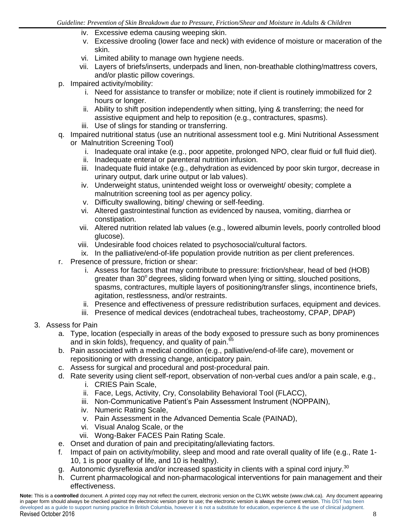- iv. Excessive edema causing weeping skin.
- v. Excessive drooling (lower face and neck) with evidence of moisture or maceration of the skin.
- vi. Limited ability to manage own hygiene needs.
- vii. Layers of briefs/inserts, underpads and linen, non-breathable clothing/mattress covers, and/or plastic pillow coverings.
- p. Impaired activity/mobility:
	- i. Need for assistance to transfer or mobilize; note if client is routinely immobilized for 2 hours or longer.
	- ii. Ability to shift position independently when sitting, lying & transferring; the need for assistive equipment and help to reposition (e.g., contractures, spasms).
	- iii. Use of slings for standing or transferring.
- q. Impaired nutritional status (use an nutritional assessment tool e.g. Mini Nutritional Assessment or Malnutrition Screening Tool)
	- i. Inadequate oral intake (e.g., poor appetite, prolonged NPO, clear fluid or full fluid diet).
	- ii. Inadequate enteral or parenteral nutrition infusion.
	- iii. Inadequate fluid intake (e.g., dehydration as evidenced by poor skin turgor, decrease in urinary output, dark urine output or lab values).
	- iv. Underweight status, unintended weight loss or overweight/ obesity; complete a malnutrition screening tool as per agency policy.
	- v. Difficulty swallowing, biting/ chewing or self-feeding.
	- vi. Altered gastrointestinal function as evidenced by nausea, vomiting, diarrhea or constipation.
	- vii. Altered nutrition related lab values (e.g., lowered albumin levels, poorly controlled blood glucose).
	- viii. Undesirable food choices related to psychosocial/cultural factors.
	- ix. In the palliative/end-of-life population provide nutrition as per client preferences.
- r. Presence of pressure, friction or shear:
	- i. Assess for factors that may contribute to pressure: friction/shear, head of bed (HOB) greater than 30° degrees, sliding forward when lying or sitting, slouched positions, spasms, contractures, multiple layers of positioning/transfer slings, incontinence briefs, agitation, restlessness, and/or restraints.
	- ii. Presence and effectiveness of pressure redistribution surfaces, equipment and devices.
	- iii. Presence of medical devices (endotracheal tubes, tracheostomy, CPAP, DPAP)
- 3. Assess for Pain
	- a. Type, location (especially in areas of the body exposed to pressure such as bony prominences and in skin folds), frequency, and quality of pain.<sup>65</sup>
	- b. Pain associated with a medical condition (e.g., palliative/end-of-life care), movement or repositioning or with dressing change, anticipatory pain.
	- c. Assess for surgical and procedural and post-procedural pain.
	- d. Rate severity using client self-report, observation of non-verbal cues and/or a pain scale, e.g.,
		- i. CRIES Pain Scale,
		- ii. Face, Legs, Activity, Cry, Consolability Behavioral Tool (FLACC),
		- iii. Non-Communicative Patient's Pain Assessment Instrument (NOPPAIN),
		- iv. Numeric Rating Scale,
		- v. Pain Assessment in the Advanced Dementia Scale (PAINAD),
		- vi. Visual Analog Scale, or the
		- vii. Wong-Baker FACES Pain Rating Scale.
	- e. Onset and duration of pain and precipitating/alleviating factors.
	- f. Impact of pain on activity/mobility, sleep and mood and rate overall quality of life (e.g., Rate 1- 10, 1 is poor quality of life, and 10 is healthy).
	- g. Autonomic dysreflexia and/or increased spasticity in clients with a spinal cord injury.<sup>30</sup>
	- h. Current pharmacological and non-pharmacological interventions for pain management and their effectiveness.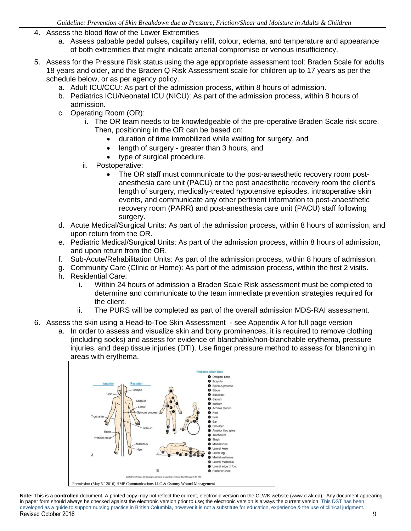- 4. Assess the blood flow of the Lower Extremities
	- a. Assess palpable pedal pulses, capillary refill, colour, edema, and temperature and appearance of both extremities that might indicate arterial compromise or venous insufficiency.
- 5. Assess for the Pressure Risk status using the age appropriate assessment tool: Braden Scale for adults 18 years and older, and the Braden Q Risk Assessment scale for children up to 17 years as per the schedule below, or as per agency policy.
	- a. Adult ICU/CCU: As part of the admission process, within 8 hours of admission.
	- b. Pediatrics ICU/Neonatal ICU (NICU): As part of the admission process, within 8 hours of admission.
	- c. Operating Room (OR):
		- i. The OR team needs to be knowledgeable of the pre-operative Braden Scale risk score. Then, positioning in the OR can be based on:
			- duration of time immobilized while waiting for surgery, and
			- length of surgery greater than 3 hours, and
			- type of surgical procedure.
		- ii. Postoperative:
			- The OR staff must communicate to the post-anaesthetic recovery room postanesthesia care unit (PACU) or the post anaesthetic recovery room the client's length of surgery, medically-treated hypotensive episodes, intraoperative skin events, and communicate any other pertinent information to post-anaesthetic recovery room (PARR) and post-anesthesia care unit (PACU) staff following surgery.
	- d. Acute Medical/Surgical Units: As part of the admission process, within 8 hours of admission, and upon return from the OR.
	- e. Pediatric Medical/Surgical Units: As part of the admission process, within 8 hours of admission, and upon return from the OR.
	- f. Sub-Acute/Rehabilitation Units: As part of the admission process, within 8 hours of admission.
	- g. Community Care (Clinic or Home): As part of the admission process, within the first 2 visits.
	- h. Residential Care:
		- i. Within 24 hours of admission a Braden Scale Risk assessment must be completed to determine and communicate to the team immediate prevention strategies required for the client.
		- ii. The PURS will be completed as part of the overall admission MDS-RAI assessment.
- 6. Assess the skin using a Head-to-Toe Skin Assessment see Appendix A for full page version
	- a. In order to assess and visualize skin and bony prominences, it is required to remove clothing (including socks) and assess for evidence of blanchable/non-blanchable erythema, pressure injuries, and deep tissue injuries (DTI). Use finger pressure method to assess for blanching in areas with erythema.



**Note:** This is a **controlled** document. A printed copy may not reflect the current, electronic version on the CLWK website (www.clwk.ca). Any document appearing in paper form should always be checked against the electronic version prior to use; the electronic version is always the current version. This DST has been developed as a guide to support nursing practice in British Columbia, however it is not a substitute for education, experience & the use of clinical judgment. Revised October 2016 9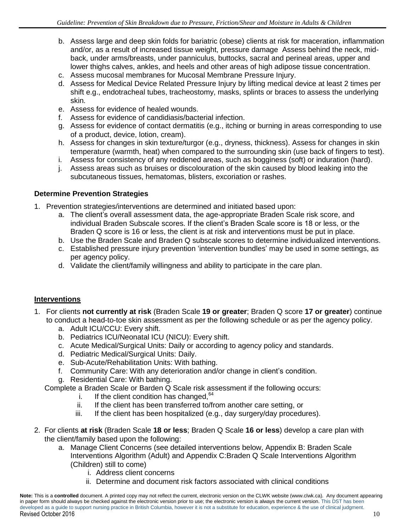- b. Assess large and deep skin folds for bariatric (obese) clients at risk for maceration, inflammation and/or, as a result of increased tissue weight, pressure damage Assess behind the neck, midback, under arms/breasts, under panniculus, buttocks, sacral and perineal areas, upper and lower thighs calves, ankles, and heels and other areas of high adipose tissue concentration.
- c. Assess mucosal membranes for Mucosal Membrane Pressure Injury.
- d. Assess for Medical Device Related Pressure Injury by lifting medical device at least 2 times per shift e.g., endotracheal tubes, tracheostomy, masks, splints or braces to assess the underlying skin.
- e. Assess for evidence of healed wounds.
- f. Assess for evidence of candidiasis/bacterial infection.
- g. Assess for evidence of contact dermatitis (e.g., itching or burning in areas corresponding to use of a product, device, lotion, cream).
- h. Assess for changes in skin texture/turgor (e.g., dryness, thickness). Assess for changes in skin temperature (warmth, heat) when compared to the surrounding skin (use back of fingers to test).
- i. Assess for consistency of any reddened areas, such as bogginess (soft) or induration (hard).
- j. Assess areas such as bruises or discolouration of the skin caused by blood leaking into the subcutaneous tissues, hematomas, blisters, excoriation or rashes.

# **Determine Prevention Strategies**

- 1. Prevention strategies/interventions are determined and initiated based upon:
	- a. The client's overall assessment data, the age-appropriate Braden Scale risk score, and individual Braden Subscale scores. If the client's Braden Scale score is 18 or less, or the Braden Q score is 16 or less, the client is at risk and interventions must be put in place.
	- b. Use the Braden Scale and Braden Q subscale scores to determine individualized interventions.
	- c. Established pressure injury prevention 'intervention bundles' may be used in some settings, as per agency policy.
	- d. Validate the client/family willingness and ability to participate in the care plan.

# **Interventions**

- 1. For clients **not currently at risk** (Braden Scale **19 or greater**; Braden Q score **17 or greater**) continue to conduct a head-to-toe skin assessment as per the following schedule or as per the agency policy.
	- a. Adult ICU/CCU: Every shift.
	- b. Pediatrics ICU/Neonatal ICU (NICU): Every shift.
	- c. Acute Medical/Surgical Units: Daily or according to agency policy and standards.
	- d. Pediatric Medical/Surgical Units: Daily.
	- e. Sub-Acute/Rehabilitation Units: With bathing.
	- f. Community Care: With any deterioration and/or change in client's condition.
	- g. Residential Care: With bathing.

Complete a Braden Scale or Barden Q Scale risk assessment if the following occurs:

- i. If the client condition has changed,  $64$
- ii. If the client has been transferred to/from another care setting, or
- iii. If the client has been hospitalized (e.g., day surgery/day procedures).
- 2. For clients **at risk** (Braden Scale **18 or less**; Braden Q Scale **16 or less**) develop a care plan with the client/family based upon the following:
	- a. Manage Client Concerns (see detailed interventions below, Appendix B: Braden Scale Interventions Algorithm (Adult) and Appendix C:Braden Q Scale Interventions Algorithm (Children) still to come)
		- i. Address client concerns
		- ii. Determine and document risk factors associated with clinical conditions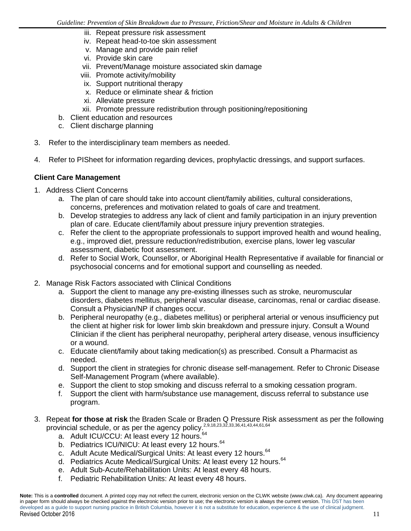- iii. Repeat pressure risk assessment
- iv. Repeat head-to-toe skin assessment
- v. Manage and provide pain relief
- vi. Provide skin care
- vii. Prevent/Manage moisture associated skin damage
- viii. Promote activity/mobility
- ix. Support nutritional therapy
- x. Reduce or eliminate shear & friction
- xi. Alleviate pressure
- xii. Promote pressure redistribution through positioning/repositioning
- b. Client education and resources
- c. Client discharge planning
- 3. Refer to the interdisciplinary team members as needed.
- 4. Refer to PISheet for information regarding devices, prophylactic dressings, and support surfaces.

## **Client Care Management**

- 1. Address Client Concerns
	- a. The plan of care should take into account client/family abilities, cultural considerations, concerns, preferences and motivation related to goals of care and treatment.
	- b. Develop strategies to address any lack of client and family participation in an injury prevention plan of care. Educate client/family about pressure injury prevention strategies.
	- c. Refer the client to the appropriate professionals to support improved health and wound healing, e.g., improved diet, pressure reduction/redistribution, exercise plans, lower leg vascular assessment, diabetic foot assessment.
	- d. Refer to Social Work, Counsellor, or Aboriginal Health Representative if available for financial or psychosocial concerns and for emotional support and counselling as needed.
- 2. Manage Risk Factors associated with Clinical Conditions
	- a. Support the client to manage any pre-existing illnesses such as stroke, neuromuscular disorders, diabetes mellitus, peripheral vascular disease, carcinomas, renal or cardiac disease. Consult a Physician/NP if changes occur.
	- b. Peripheral neuropathy (e.g., diabetes mellitus) or peripheral arterial or venous insufficiency put the client at higher risk for lower limb skin breakdown and pressure injury. Consult a Wound Clinician if the client has peripheral neuropathy, peripheral artery disease, venous insufficiency or a wound.
	- c. Educate client/family about taking medication(s) as prescribed. Consult a Pharmacist as needed.
	- d. Support the client in strategies for chronic disease self-management. Refer to Chronic Disease Self-Management Program (where available).
	- e. Support the client to stop smoking and discuss referral to a smoking cessation program.
	- f. Support the client with harm/substance use management, discuss referral to substance use program.
- 3. Repeat **for those at risk** the Braden Scale or Braden Q Pressure Risk assessment as per the following provincial schedule, or as per the agency policy.<sup>2,9,18,23,32,33,36,41,43,44,61,64</sup>
	- a. Adult ICU/CCU: At least every 12 hours.<sup>64</sup>
	- b. Pediatrics ICU/NICU: At least every 12 hours.<sup>64</sup>
	- c. Adult Acute Medical/Surgical Units: At least every 12 hours.<sup>64</sup>
	- d. Pediatrics Acute Medical/Surgical Units: At least every 12 hours.<sup>64</sup>
	- e. Adult Sub-Acute/Rehabilitation Units: At least every 48 hours.
	- f. Pediatric Rehabilitation Units: At least every 48 hours.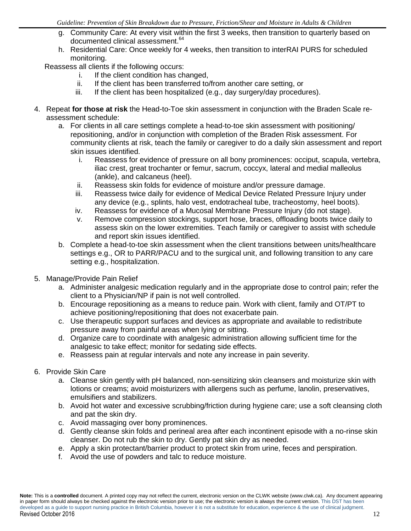- g. Community Care: At every visit within the first 3 weeks, then transition to quarterly based on documented clinical assessment.<sup>64</sup>
- h. Residential Care: Once weekly for 4 weeks, then transition to interRAI PURS for scheduled monitoring.

Reassess all clients if the following occurs:

- i. If the client condition has changed,
- ii. If the client has been transferred to/from another care setting, or
- iii. If the client has been hospitalized (e.g., day surgery/day procedures).
- 4. Repeat **for those at risk** the Head-to-Toe skin assessment in conjunction with the Braden Scale reassessment schedule:
	- a. For clients in all care settings complete a head-to-toe skin assessment with positioning/ repositioning, and/or in conjunction with completion of the Braden Risk assessment. For community clients at risk, teach the family or caregiver to do a daily skin assessment and report skin issues identified.
		- i. Reassess for evidence of pressure on all bony prominences: occiput, scapula, vertebra, iliac crest, great trochanter or femur, sacrum, coccyx, lateral and medial malleolus (ankle), and calcaneus (heel).
		- ii. Reassess skin folds for evidence of moisture and/or pressure damage.
		- iii. Reassess twice daily for evidence of Medical Device Related Pressure Injury under any device (e.g., splints, halo vest, endotracheal tube, tracheostomy, heel boots).
		- iv. Reassess for evidence of a Mucosal Membrane Pressure Injury (do not stage).
		- v. Remove compression stockings, support hose, braces, offloading boots twice daily to assess skin on the lower extremities. Teach family or caregiver to assist with schedule and report skin issues identified.
	- b. Complete a head-to-toe skin assessment when the client transitions between units/healthcare settings e.g., OR to PARR/PACU and to the surgical unit, and following transition to any care setting e.g., hospitalization.
- 5. Manage/Provide Pain Relief
	- a. Administer analgesic medication regularly and in the appropriate dose to control pain; refer the client to a Physician/NP if pain is not well controlled.
	- b. Encourage repositioning as a means to reduce pain. Work with client, family and OT/PT to achieve positioning/repositioning that does not exacerbate pain.
	- c. Use therapeutic support surfaces and devices as appropriate and available to redistribute pressure away from painful areas when lying or sitting.
	- d. Organize care to coordinate with analgesic administration allowing sufficient time for the analgesic to take effect; monitor for sedating side effects.
	- e. Reassess pain at regular intervals and note any increase in pain severity.
- 6. Provide Skin Care
	- a. Cleanse skin gently with pH balanced, non-sensitizing skin cleansers and moisturize skin with lotions or creams; avoid moisturizers with allergens such as perfume, lanolin, preservatives, emulsifiers and stabilizers.
	- b. Avoid hot water and excessive scrubbing/friction during hygiene care; use a soft cleansing cloth and pat the skin dry.
	- c. Avoid massaging over bony prominences.
	- d. Gently cleanse skin folds and perineal area after each incontinent episode with a no-rinse skin cleanser. Do not rub the skin to dry. Gently pat skin dry as needed.
	- e. Apply a skin protectant/barrier product to protect skin from urine, feces and perspiration.
	- f. Avoid the use of powders and talc to reduce moisture.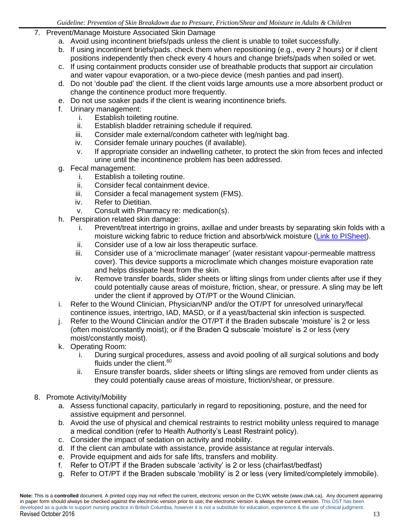- 7. Prevent/Manage Moisture Associated Skin Damage
	- a. Avoid using incontinent briefs/pads unless the client is unable to toilet successfully.
	- b. If using incontinent briefs/pads. check them when repositioning (e.g., every 2 hours) or if client positions independently then check every 4 hours and change briefs/pads when soiled or wet.
	- c. If using containment products consider use of breathable products that support air circulation and water vapour evaporation, or a two-piece device (mesh panties and pad insert).
	- d. Do not 'double pad' the client. If the client voids large amounts use a more absorbent product or change the continence product more frequently.
	- e. Do not use soaker pads if the client is wearing incontinence briefs.
	- f. Urinary management:
		- i. Establish toileting routine.
		- ii. Establish bladder retraining schedule if required.
		- iii. Consider male external/condom catheter with leg/night bag.
		- iv. Consider female urinary pouches (if available).
		- v. If appropriate consider an indwelling catheter, to protect the skin from feces and infected urine until the incontinence problem has been addressed.
	- g. Fecal management:
		- i. Establish a toileting routine.
		- ii. Consider fecal containment device.
		- iii. Consider a fecal management system (FMS).
		- iv. Refer to Dietitian.
		- v. Consult with Pharmacy re: medication(s).
	- h. Perspiration related skin damage:
		- i. Prevent/treat intertrigo in groins, axillae and under breasts by separating skin folds with a moisture wicking fabric to reduce friction and absorb/wick moisture [\(Link to PISheet\)](https://www.clwk.ca/buddydrive/file/interdry-ag/).
		- ii. Consider use of a low air loss therapeutic surface.
		- iii. Consider use of a 'microclimate manager' (water resistant vapour-permeable mattress cover). This device supports a microclimate which changes moisture evaporation rate and helps dissipate heat from the skin.
		- iv. Remove transfer boards, slider sheets or lifting slings from under clients after use if they could potentially cause areas of moisture, friction, shear, or pressure. A sling may be left under the client if approved by OT/PT or the Wound Clinician.
	- i. Refer to the Wound Clinician, Physician/NP and/or the OT/PT for unresolved urinary/fecal continence issues, intertrigo, IAD, MASD, or if a yeast/bacterial skin infection is suspected.
	- j. Refer to the Wound Clinician and/or the OT/PT if the Braden subscale 'moisture' is 2 or less (often moist/constantly moist); or if the Braden Q subscale 'moisture' is 2 or less (very moist/constantly moist).
	- k. Operating Room:
		- i. During surgical procedures, assess and avoid pooling of all surgical solutions and body fluids under the client. $60$
		- ii. Ensure transfer boards, slider sheets or lifting slings are removed from under clients as they could potentially cause areas of moisture, friction/shear, or pressure.
- 8. Promote Activity/Mobility
	- a. Assess functional capacity, particularly in regard to repositioning, posture, and the need for assistive equipment and personnel.
	- b. Avoid the use of physical and chemical restraints to restrict mobility unless required to manage a medical condition (refer to Health Authority's Least Restraint policy).
	- c. Consider the impact of sedation on activity and mobility.
	- d. If the client can ambulate with assistance, provide assistance at regular intervals.
	- e. Provide equipment and aids for safe lifts, transfers and mobility.
	- f. Refer to OT/PT if the Braden subscale 'activity' is 2 or less (chairfast/bedfast)
	- g. Refer to OT/PT if the Braden subscale 'mobility' is 2 or less (very limited/completely immobile).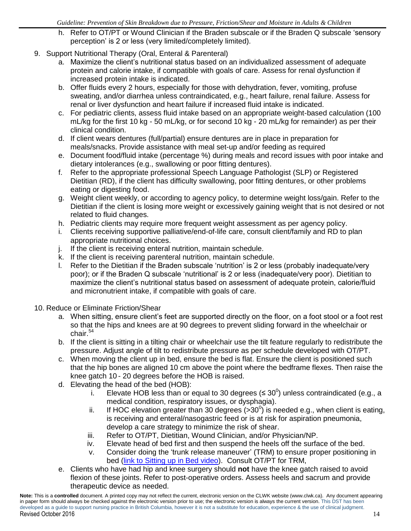- h. Refer to OT/PT or Wound Clinician if the Braden subscale or if the Braden Q subscale 'sensory perception' is 2 or less (very limited/completely limited).
- 9. Support Nutritional Therapy (Oral, Enteral & Parenteral)
	- a. Maximize the client's nutritional status based on an individualized assessment of adequate protein and calorie intake, if compatible with goals of care. Assess for renal dysfunction if increased protein intake is indicated.
	- b. Offer fluids every 2 hours, especially for those with dehydration, fever, vomiting, profuse sweating, and/or diarrhea unless contraindicated, e.g., heart failure, renal failure. Assess for renal or liver dysfunction and heart failure if increased fluid intake is indicated.
	- c. For pediatric clients, assess fluid intake based on an appropriate weight-based calculation (100 mL/kg for the first 10 kg - 50 mL/kg, or for second 10 kg - 20 mL/kg for remainder) as per their clinical condition.
	- d. If client wears dentures (full/partial) ensure dentures are in place in preparation for meals/snacks. Provide assistance with meal set-up and/or feeding as required
	- e. Document food/fluid intake (percentage %) during meals and record issues with poor intake and dietary intolerances (e.g., swallowing or poor fitting dentures).
	- f. Refer to the appropriate professional Speech Language Pathologist (SLP) or Registered Dietitian (RD), if the client has difficulty swallowing, poor fitting dentures, or other problems eating or digesting food.
	- g. Weight client weekly, or according to agency policy, to determine weight loss/gain. Refer to the Dietitian if the client is losing more weight or excessively gaining weight that is not desired or not related to fluid changes.
	- h. Pediatric clients may require more frequent weight assessment as per agency policy.
	- i. Clients receiving supportive palliative/end-of-life care, consult client/family and RD to plan appropriate nutritional choices.
	- j. If the client is receiving enteral nutrition, maintain schedule.
	- k. If the client is receiving parenteral nutrition, maintain schedule.
	- l. Refer to the Dietitian if the Braden subscale 'nutrition' is 2 or less (probably inadequate/very poor); or if the Braden Q subscale 'nutritional' is 2 or less (inadequate/very poor). Dietitian to maximize the client's nutritional status based on assessment of adequate protein, calorie/fluid and micronutrient intake, if compatible with goals of care.
- 10. Reduce or Eliminate Friction/Shear
	- a. When sitting, ensure client's feet are supported directly on the floor, on a foot stool or a foot rest so that the hips and knees are at 90 degrees to prevent sliding forward in the wheelchair or chair. 54
	- b. If the client is sitting in a tilting chair or wheelchair use the tilt feature regularly to redistribute the pressure. Adjust angle of tilt to redistribute pressure as per schedule developed with OT/PT.
	- c. When moving the client up in bed, ensure the bed is flat. Ensure the client is positioned such that the hip bones are aligned 10 cm above the point where the bedframe flexes. Then raise the knee gatch 10 - 20 degrees before the HOB is raised.
	- d. Elevating the head of the bed (HOB):
		- i. Elevate HOB less than or equal to 30 degrees ( $\leq 30^0$ ) unless contraindicated (e.g., a medical condition, respiratory issues, or dysphagia).
		- ii. If HOC elevation greater than 30 degrees  $(>30^0)$  is needed e.g., when client is eating, is receiving and enteral/nasogastric feed or is at risk for aspiration pneumonia, develop a care strategy to minimize the risk of shear.
		- iii. Refer to OT/PT, Dietitian, Wound Clinician, and/or Physician/NP.
		- iv. Elevate head of bed first and then suspend the heels off the surface of the bed.
		- v. Consider doing the 'trunk release maneuver' (TRM) to ensure proper positioning in bed [\(link to Sitting up in Bed video\)](https://www.clwk.ca/buddydrive/file/sitting-up-in-bed/). Consult OT/PT for TRM,
	- e. Clients who have had hip and knee surgery should **not** have the knee gatch raised to avoid flexion of these joints. Refer to post-operative orders. Assess heels and sacrum and provide therapeutic device as needed.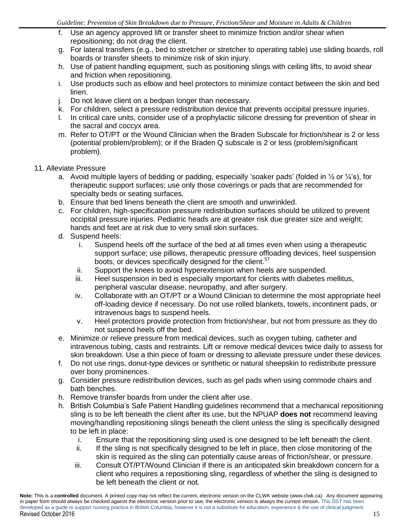- f. Use an agency approved lift or transfer sheet to minimize friction and/or shear when repositioning; do not drag the client.
- g. For lateral transfers (e.g., bed to stretcher or stretcher to operating table) use sliding boards, roll boards or transfer sheets to minimize risk of skin injury.
- h. Use of patient handling equipment, such as positioning slings with ceiling lifts, to avoid shear and friction when repositioning.
- i. Use products such as elbow and heel protectors to minimize contact between the skin and bed linen.
- j. Do not leave client on a bedpan longer than necessary.
- k. For children, select a pressure redistribution device that prevents occipital pressure injuries.
- l. In critical care units, consider use of a prophylactic silicone dressing for prevention of shear in the sacral and coccyx area.
- m. Refer to OT/PT or the Wound Clinician when the Braden Subscale for friction/shear is 2 or less (potential problem/problem); or if the Braden Q subscale is 2 or less (problem/significant problem).

#### 11. Alleviate Pressure

- a. Avoid multiple layers of bedding or padding, especially 'soaker pads' (folded in  $\frac{1}{2}$  or  $\frac{1}{4}$ 's), for therapeutic support surfaces; use only those coverings or pads that are recommended for specialty beds or seating surfaces.
- b. Ensure that bed linens beneath the client are smooth and unwrinkled.
- c. For children, high-specification pressure redistribution surfaces should be utilized to prevent occipital pressure injuries. Pediatric heads are at greater risk due greater size and weight; hands and feet are at risk due to very small skin surfaces.
- d. Suspend heels:
	- i. Suspend heels off the surface of the bed at all times even when using a therapeutic support surface; use pillows, therapeutic pressure offloading devices, heel suspension boots, or devices specifically designed for the client.<sup>57</sup>
	- ii. Support the knees to avoid hyperextension when heels are suspended.
	- iii. Heel suspension in bed is especially important for clients with diabetes mellitus, peripheral vascular disease, neuropathy, and after surgery.
	- iv. Collaborate with an OT/PT or a Wound Clinician to determine the most appropriate heel off-loading device if necessary. Do not use rolled blankets, towels, incontinent pads, or intravenous bags to suspend heels.
	- v. Heel protectors provide protection from friction/shear, but not from pressure as they do not suspend heels off the bed.
- e. Minimize or relieve pressure from medical devices, such as oxygen tubing, catheter and intravenous tubing, casts and restraints. Lift or remove medical devices twice daily to assess for skin breakdown. Use a thin piece of foam or dressing to alleviate pressure under these devices.
- f. Do not use rings, donut-type devices or synthetic or natural sheepskin to redistribute pressure over bony prominences.
- g. Consider pressure redistribution devices, such as gel pads when using commode chairs and bath benches.
- h. Remove transfer boards from under the client after use.
- h. British Columbia's Safe Patient Handling guidelines recommend that a mechanical repositioning sling is to be left beneath the client after its use, but the NPUAP **does not** recommend leaving moving/handling repositioning slings beneath the client unless the sling is specifically designed to be left in place:
	- i. Ensure that the repositioning sling used is one designed to be left beneath the client.
	- ii. If the sling is not specifically designed to be left in place, then close monitoring of the skin is required as the sling can potentially cause areas of friction/shear, or pressure.
	- iii. Consult OT/PT/Wound Clinician if there is an anticipated skin breakdown concern for a client who requires a repositioning sling, regardless of whether the sling is designed to be left beneath the client or not.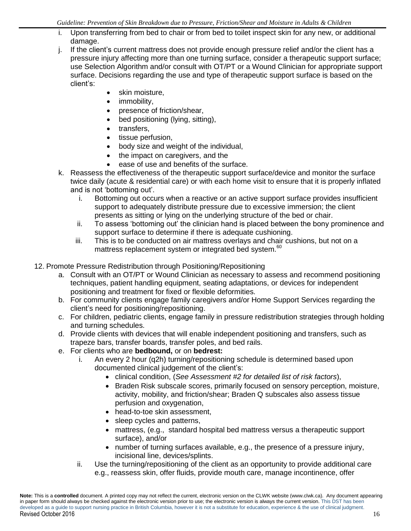- i. Upon transferring from bed to chair or from bed to toilet inspect skin for any new, or additional damage.
- j. If the client's current mattress does not provide enough pressure relief and/or the client has a pressure injury affecting more than one turning surface, consider a therapeutic support surface; use Selection Algorithm and/or consult with OT/PT or a Wound Clinician for appropriate support surface. Decisions regarding the use and type of therapeutic support surface is based on the client's:
	- skin moisture,
	- immobility,
	- presence of friction/shear,
	- bed positioning (lying, sitting),
	- transfers,
	- tissue perfusion,
	- body size and weight of the individual,
	- the impact on caregivers, and the
	- ease of use and benefits of the surface.
- k. Reassess the effectiveness of the therapeutic support surface/device and monitor the surface twice daily (acute & residential care) or with each home visit to ensure that it is properly inflated and is not 'bottoming out'.
	- i. Bottoming out occurs when a reactive or an active support surface provides insufficient support to adequately distribute pressure due to excessive immersion; the client presents as sitting or lying on the underlying structure of the bed or chair.
	- ii. To assess 'bottoming out' the clinician hand is placed between the bony prominence and support surface to determine if there is adequate cushioning.
	- iii. This is to be conducted on air mattress overlays and chair cushions, but not on a mattress replacement system or integrated bed system.<sup>60</sup>
- 12. Promote Pressure Redistribution through Positioning/Repositioning
	- a. Consult with an OT/PT or Wound Clinician as necessary to assess and recommend positioning techniques, patient handling equipment, seating adaptations, or devices for independent positioning and treatment for fixed or flexible deformities.
	- b. For community clients engage family caregivers and/or Home Support Services regarding the client's need for positioning/repositioning.
	- c. For children, pediatric clients, engage family in pressure redistribution strategies through holding and turning schedules.
	- d. Provide clients with devices that will enable independent positioning and transfers, such as trapeze bars, transfer boards, transfer poles, and bed rails.
	- e. For clients who are **bedbound,** or on **bedrest:** 
		- i. An every 2 hour (q2h) turning/repositioning schedule is determined based upon documented clinical judgement of the client's:
			- clinical condition, (*See Assessment #2 for detailed list of risk factors*),
			- Braden Risk subscale scores, primarily focused on sensory perception, moisture, activity, mobility, and friction/shear; Braden Q subscales also assess tissue perfusion and oxygenation,
			- head-to-toe skin assessment.
			- sleep cycles and patterns,
			- mattress, (e.g., standard hospital bed mattress versus a therapeutic support surface), and/or
			- number of turning surfaces available, e.g., the presence of a pressure injury, incisional line, devices/splints.
		- ii. Use the turning/repositioning of the client as an opportunity to provide additional care e.g., reassess skin, offer fluids, provide mouth care, manage incontinence, offer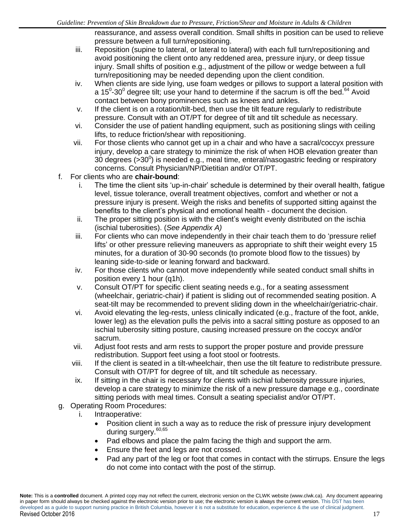reassurance, and assess overall condition. Small shifts in position can be used to relieve pressure between a full turn/repositioning.

- iii. Reposition (supine to lateral, or lateral to lateral) with each full turn/repositioning and avoid positioning the client onto any reddened area, pressure injury, or deep tissue injury. Small shifts of position e.g., adjustment of the pillow or wedge between a full turn/repositioning may be needed depending upon the client condition.
- iv. When clients are side lying, use foam wedges or pillows to support a lateral position with a 15 $0$ -30 $0$  degree tilt; use your hand to determine if the sacrum is off the bed.<sup>64</sup> Avoid contact between bony prominences such as knees and ankles.
- v. If the client is on a rotation/tilt-bed, then use the tilt feature regularly to redistribute pressure. Consult with an OT/PT for degree of tilt and tilt schedule as necessary.
- vi. Consider the use of patient handling equipment, such as positioning slings with ceiling lifts, to reduce friction/shear with repositioning.
- vii. For those clients who cannot get up in a chair and who have a sacral/coccyx pressure injury, develop a care strategy to minimize the risk of when HOB elevation greater than 30 degrees ( $>$ 30 $^0$ ) is needed e.g., meal time, enteral/nasogastric feeding or respiratory concerns. Consult Physician/NP/Dietitian and/or OT/PT.
- f. For clients who are **chair-bound**:
	- i. The time the client sits 'up-in-chair' schedule is determined by their overall health, fatigue level, tissue tolerance, overall treatment objectives, comfort and whether or not a pressure injury is present. Weigh the risks and benefits of supported sitting against the benefits to the client's physical and emotional health - document the decision.
	- ii. The proper sitting position is with the client's weight evenly distributed on the ischia (ischial tuberosities). (*See Appendix A)*
	- iii. For clients who can move independently in their chair teach them to do 'pressure relief lifts' or other pressure relieving maneuvers as appropriate to shift their weight every 15 minutes, for a duration of 30-90 seconds (to promote blood flow to the tissues) by leaning side-to-side or leaning forward and backward.
	- iv. For those clients who cannot move independently while seated conduct small shifts in position every 1 hour (q1h).
	- v. Consult OT/PT for specific client seating needs e.g., for a seating assessment (wheelchair, geriatric-chair) if patient is sliding out of recommended seating position. A seat-tilt may be recommended to prevent sliding down in the wheelchair/geriatric-chair.
	- vi. Avoid elevating the leg-rests, unless clinically indicated (e.g., fracture of the foot, ankle, lower leg) as the elevation pulls the pelvis into a sacral sitting posture as opposed to an ischial tuberosity sitting posture, causing increased pressure on the coccyx and/or sacrum.
	- vii. Adjust foot rests and arm rests to support the proper posture and provide pressure redistribution. Support feet using a foot stool or footrests.
	- viii. If the client is seated in a tilt-wheelchair, then use the tilt feature to redistribute pressure. Consult with OT/PT for degree of tilt, and tilt schedule as necessary.
	- ix. If sitting in the chair is necessary for clients with ischial tuberosity pressure injuries, develop a care strategy to minimize the risk of a new pressure damage e.g., coordinate sitting periods with meal times. Consult a seating specialist and/or OT/PT.
- g. Operating Room Procedures:
	- i. Intraoperative:
		- Position client in such a way as to reduce the risk of pressure injury development during surgery.<sup>60,65</sup>
		- Pad elbows and place the palm facing the thigh and support the arm.
		- Ensure the feet and legs are not crossed.
		- Pad any part of the leg or foot that comes in contact with the stirrups. Ensure the legs do not come into contact with the post of the stirrup.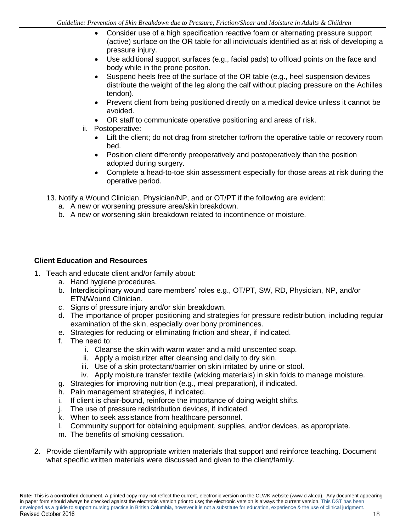- Consider use of a high specification reactive foam or alternating pressure support (active) surface on the OR table for all individuals identified as at risk of developing a pressure injury.
- Use additional support surfaces (e.g., facial pads) to offload points on the face and body while in the prone positon.
- Suspend heels free of the surface of the OR table (e.g., heel suspension devices distribute the weight of the leg along the calf without placing pressure on the Achilles tendon).
- Prevent client from being positioned directly on a medical device unless it cannot be avoided.
- OR staff to communicate operative positioning and areas of risk.
- ii. Postoperative:
	- Lift the client; do not drag from stretcher to/from the operative table or recovery room bed.
	- Position client differently preoperatively and postoperatively than the position adopted during surgery.
	- Complete a head-to-toe skin assessment especially for those areas at risk during the operative period.
- 13. Notify a Wound Clinician, Physician/NP, and or OT/PT if the following are evident:
	- a. A new or worsening pressure area/skin breakdown.
	- b. A new or worsening skin breakdown related to incontinence or moisture.

## **Client Education and Resources**

- 1. Teach and educate client and/or family about:
	- a. Hand hygiene procedures.
	- b. Interdisciplinary wound care members' roles e.g., OT/PT, SW, RD, Physician, NP, and/or ETN/Wound Clinician.
	- c. Signs of pressure injury and/or skin breakdown.
	- d. The importance of proper positioning and strategies for pressure redistribution, including regular examination of the skin, especially over bony prominences.
	- e. Strategies for reducing or eliminating friction and shear, if indicated.
	- f. The need to:
		- i. Cleanse the skin with warm water and a mild unscented soap.
		- ii. Apply a moisturizer after cleansing and daily to dry skin.
		- iii. Use of a skin protectant/barrier on skin irritated by urine or stool.
		- iv. Apply moisture transfer textile (wicking materials) in skin folds to manage moisture.
	- g. Strategies for improving nutrition (e.g., meal preparation), if indicated.
	- h. Pain management strategies, if indicated.
	- i. If client is chair-bound, reinforce the importance of doing weight shifts.
	- j. The use of pressure redistribution devices, if indicated.
	- k. When to seek assistance from healthcare personnel.
	- l. Community support for obtaining equipment, supplies, and/or devices, as appropriate.
	- m. The benefits of smoking cessation.
- 2. Provide client/family with appropriate written materials that support and reinforce teaching. Document what specific written materials were discussed and given to the client/family.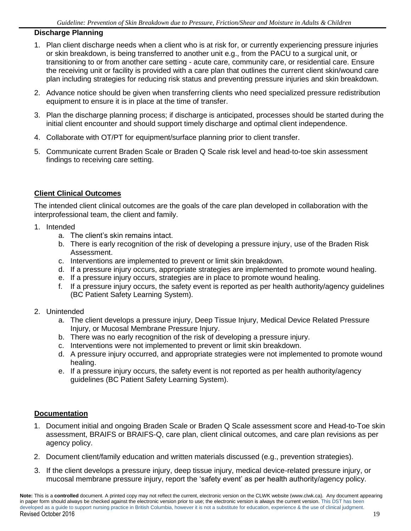## **Discharge Planning**

- 1. Plan client discharge needs when a client who is at risk for, or currently experiencing pressure injuries or skin breakdown, is being transferred to another unit e.g., from the PACU to a surgical unit, or transitioning to or from another care setting - acute care, community care, or residential care. Ensure the receiving unit or facility is provided with a care plan that outlines the current client skin/wound care plan including strategies for reducing risk status and preventing pressure injuries and skin breakdown.
- 2. Advance notice should be given when transferring clients who need specialized pressure redistribution equipment to ensure it is in place at the time of transfer.
- 3. Plan the discharge planning process; if discharge is anticipated, processes should be started during the initial client encounter and should support timely discharge and optimal client independence.
- 4. Collaborate with OT/PT for equipment/surface planning prior to client transfer.
- 5. Communicate current Braden Scale or Braden Q Scale risk level and head-to-toe skin assessment findings to receiving care setting.

## **Client Clinical Outcomes**

The intended client clinical outcomes are the goals of the care plan developed in collaboration with the interprofessional team, the client and family.

- 1. Intended
	- a. The client's skin remains intact.
	- b. There is early recognition of the risk of developing a pressure injury, use of the Braden Risk Assessment.
	- c. Interventions are implemented to prevent or limit skin breakdown.
	- d. If a pressure injury occurs, appropriate strategies are implemented to promote wound healing.
	- e. If a pressure injury occurs, strategies are in place to promote wound healing.
	- f. If a pressure injury occurs, the safety event is reported as per health authority/agency guidelines (BC Patient Safety Learning System).
- 2. Unintended
	- a. The client develops a pressure injury, Deep Tissue Injury, Medical Device Related Pressure Injury, or Mucosal Membrane Pressure Injury.
	- b. There was no early recognition of the risk of developing a pressure injury.
	- c. Interventions were not implemented to prevent or limit skin breakdown.
	- d. A pressure injury occurred, and appropriate strategies were not implemented to promote wound healing.
	- e. If a pressure injury occurs, the safety event is not reported as per health authority/agency guidelines (BC Patient Safety Learning System).

#### **Documentation**

- 1. Document initial and ongoing Braden Scale or Braden Q Scale assessment score and Head-to-Toe skin assessment, BRAIFS or BRAIFS-Q, care plan, client clinical outcomes, and care plan revisions as per agency policy.
- 2. Document client/family education and written materials discussed (e.g., prevention strategies).
- 3. If the client develops a pressure injury, deep tissue injury, medical device-related pressure injury, or mucosal membrane pressure injury, report the 'safety event' as per health authority/agency policy.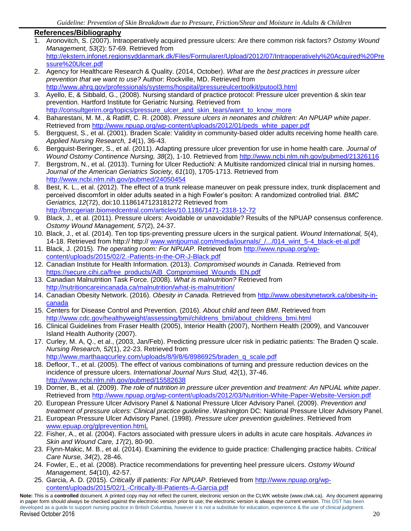#### **References/Bibliography**

- 1. Aronovitch, S. (2007). Intraoperatively acquired pressure ulcers: Are there common risk factors? *Ostomy Wound Management, 53*(2): 57-69. Retrieved from [http://ekstern.infonet.regionsyddanmark.dk/Files/Formularer/Upload/2012/07/Intraoperatively%20Acquired%20Pre](http://ekstern.infonet.regionsyddanmark.dk/Files/Formularer/Upload/2012/07/Intraoperatively%20Acquired%20Pressure%20Ulcer.pdf) [ssure%20Ulcer.pdf](http://ekstern.infonet.regionsyddanmark.dk/Files/Formularer/Upload/2012/07/Intraoperatively%20Acquired%20Pressure%20Ulcer.pdf)
- 2. Agency for Healthcare Research & Quality. (2014, October). *What are the best practices in pressure ulcer prevention that we want to use?* Author: Rockville, MD. Retrieved from <http://www.ahrq.gov/professionals/systems/hospital/pressureulcertoolkit/putool3.html>
- 3. Ayello, E, & Sibbald, G., (2008). Nursing standard of practice protocol: Pressure ulcer prevention & skin tear prevention. Hartford Institute for Geriatric Nursing. Retrieved from [http://consultgerirn.org/topics/pressure\\_ulcer\\_and\\_skin\\_tears/want\\_to\\_know\\_more](http://consultgerirn.org/topics/pressure_ulcer_and_skin_tears/want_to_know_more)
- 4. Baharestani, M. M., & Ratliff, C. R. (2008). *Pressure ulcers in neonates and children: An NPUAP white paper*. Retrieved from [http://www.npuap.org/wp-content/uploads/2012/01/peds\\_white\\_paper.pdf](http://www.npuap.org/wp-content/uploads/2012/01/peds_white_paper.pdf)
- 5. Bergquest, S., et al. (2001). Braden Scale: Validity in community-based older adults receiving home health care*. Applied Nursing Research, 14*(1), 36-43.
- 6. Bergquist-Beringer, S., et al. (2011). Adapting pressure ulcer prevention for use in home health care. *Journal of Wound Ostomy Continence Nursing, 38*(2), 1-10. Retrieved from<http://www.ncbi.nlm.nih.gov/pubmed/21326116>
- 7. Bergstrom, N., et al. (2013). Turning for Ulcer ReductioN: A Multisite randomized clinical trial in nursing homes. *Journal of the American Geriatrics Society, 61*(10), 1705-1713. Retrieved from <http://www.ncbi.nlm.nih.gov/pubmed/24050454>
- 8. Best, K. L., et al. (2012). The effect of a trunk release maneuver on peak pressure index, trunk displacement and perceived discomfort in older adults seated in a high Fowler's positon: A randomized controlled trial. *BMC Geriatrics, 12*(72), doi:10.1186147123181272 Retrieved from <http://bmcgeriatr.biomedcentral.com/articles/10.1186/1471-2318-12-72>
- 9. Black, J., et al. (2011). Pressure ulcers: Avoidable or unavoidable? Results of the NPUAP consensus conference. *Ostomy Wound Management, 57*(2), 24-37.
- 10. Black, J., et al. (2014). Ten top tips-preventing pressure ulcers in the surgical patient. *Wound International, 5*(4), 14-18. Retrieved from http:// http:// [www.wintjournal.com/media/journals/\\_/.../014\\_wint\\_5-4\\_black-et-al.pdf](http://www.wintjournal.com/media/journals/_/.../014_wint_5-4_black-et-al.pdf)
- 11. Black, J. (2015). *The operating room: For NPUAP.* Retrieved from [http://www.npuap.org/wp](http://www.npuap.org/wp-content/uploads/2015/02/2.-Patients-in-the-OR-J-Black.pdf)[content/uploads/2015/02/2.-Patients-in-the-OR-J-Black.pdf](http://www.npuap.org/wp-content/uploads/2015/02/2.-Patients-in-the-OR-J-Black.pdf)
- 12. Canadian Institute for Health Information. (2013). *Compromised wounds in Canada*. Retrieved from [https://secure.cihi.ca/free\\_products/AiB\\_Compromised\\_Wounds\\_EN.pdf](https://secure.cihi.ca/free_products/AiB_Compromised_Wounds_EN.pdf)
- 13. Canadian Malnutrition Task Force. (2008). *What is malnutrition?* Retrieved from <http://nutritioncareincanada.ca/malnutrition/what-is-malnutrition/>
- 14. Canadian Obesity Network. (2016). *Obesity in Canada.* Retrieved from [http://www.obesitynetwork.ca/obesity-in](http://www.obesitynetwork.ca/obesity-in-canada)[canada](http://www.obesitynetwork.ca/obesity-in-canada)
- 15. Centers for Disease Control and Prevention. (2016). *About child and teen BMI*. Retrieved from [http://www.cdc.gov/healthyweight/assessing/bmi/childrens\\_bmi/about\\_childrens\\_bmi.html](http://www.cdc.gov/healthyweight/assessing/bmi/childrens_bmi/about_childrens_bmi.html)
- 16. Clinical Guidelines from Fraser Health (2005), Interior Health (2007), Northern Health (2009), and Vancouver Island Health Authority (2007).
- 17. Curley, M. A, Q., et al., (2003, Jan/Feb). Predicting pressure ulcer risk in pediatric patients: The Braden Q scale. *Nursing Research, 52*(1), 22-23. Retrieved from [http://www.marthaaqcurley.com/uploads/8/9/8/6/8986925/braden\\_q\\_scale.pdf](http://www.marthaaqcurley.com/uploads/8/9/8/6/8986925/braden_q_scale.pdf)
- 18. Defloor, T., et al. (2005). The effect of various combinations of turning and pressure reduction devices on the incidence of pressure ulcers. *International Journal Nurs Stud, 42*(1), 37-46. <http://www.ncbi.nlm.nih.gov/pubmed/15582638>
- 19. Dorner, B., et al. (2009). *The role of nutrition in pressure ulcer prevention and treatment: An NPUAL white paper*. Retrieved from<http://www.npuap.org/wp-content/uploads/2012/03/Nutrition-White-Paper-Website-Version.pdf>
- 20. European Pressure Ulcer Advisory Panel & National Pressure Ulcer Advisory Panel. (2009). *Prevention and treatment of pressure ulcers: Clinical practice guideline*. Washington DC: National Pressure Ulcer Advisory Panel.
- 21. European Pressure Ulcer Advisory Panel. (1998). *Pressure ulcer prevention guidelines*. Retrieved from [www.epuap.org/glprevention.htmL](http://www.epuap.org/glprevention.html)
- 22. Fisher, A., et al. (2004). Factors associated with pressure ulcers in adults in acute care hospitals. *Advances in Skin and Wound Care, 17(*2), 80-90.
- 23. Flynn-Makic, M. B., et al. (2014). Examining the evidence to guide practice: Challenging practice habits. *Critical Care Nurse, 34*(2), 28-46.
- 24. Fowler, E., et al. (2008). Practice recommendations for preventing heel pressure ulcers. *Ostomy Wound Management, 54*(10), 42-57.
- 25. Garcia, A. D. (2015). *Critically ill patients: For NPUAP*. Retrieved from [http://www.npuap.org/wp](http://www.npuap.org/wp-content/uploads/2015/02/1.-Critically-Ill-Patients-A-Garcia.pdf)[content/uploads/2015/02/1.-Critically-Ill-Patients-A-Garcia.pdf](http://www.npuap.org/wp-content/uploads/2015/02/1.-Critically-Ill-Patients-A-Garcia.pdf)

**Note:** This is a **controlled** document. A printed copy may not reflect the current, electronic version on the CLWK website (www.clwk.ca). Any document appearing in paper form should always be checked against the electronic version prior to use; the electronic version is always the current version. This DST has been developed as a guide to support nursing practice in British Columbia, however it is not a substitute for education, experience & the use of clinical judgment. Revised October 2016 20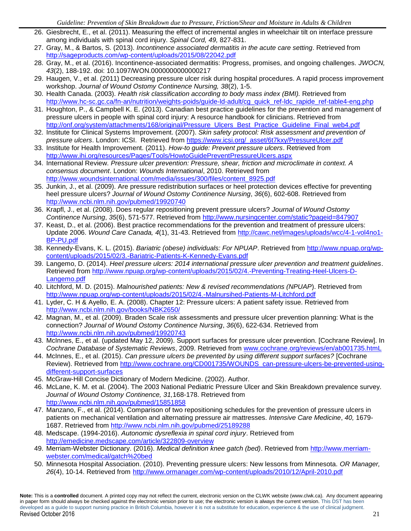- 26. Giesbrecht, E., et al. (2011). Measuring the effect of incremental angles in wheelchair tilt on interface pressure among individuals with spinal cord injury. *Spinal Cord, 49,* 827-831.
- 27. Gray, M., & Bartos, S. (2013). *Incontinence associated dermatitis in the acute care setting*. Retrieved from <http://sageproducts.com/wp-content/uploads/2015/08/22042.pdf>
- 28. Gray, M., et al. (2016). Incontinence-associated dermatitis: Progress, promises, and ongoing challenges. *JWOCN, 43*(2), 188-192. doi: 10.1097/WON.0000000000000217
- 29. Haugen, V., et al. (2011) Decreasing pressure ulcer risk during hospital procedures. A rapid process improvement workshop. *Journal of Wound Ostomy Continence Nursing, 38*(2), 1-5.
- 30. Health Canada. (2003). *Health risk classification according to body mass index (BMI).* Retrieved from [http://www.hc-sc.gc.ca/fn-an/nutrition/weights-poids/guide-ld-adult/cg\\_quick\\_ref-ldc\\_rapide\\_ref-table4-eng.php](http://www.hc-sc.gc.ca/fn-an/nutrition/weights-poids/guide-ld-adult/cg_quick_ref-ldc_rapide_ref-table4-eng.php)
- 31. Houghton, P., & Campbell K. E. (2013). Canadian best practice guidelines for the prevention and management of pressure ulcers in people with spinal cord injury: A resource handbook for clinicians. Retrieved from [http://onf.org/system/attachments/168/original/Pressure\\_Ulcers\\_Best\\_Practice\\_Guideline\\_Final\\_web4.pdf](http://onf.org/system/attachments/168/original/Pressure_Ulcers_Best_Practice_Guideline_Final_web4.pdf)
- 32. Institute for Clinical Systems Improvement. (2007). *Skin safety protocol: Risk assessment and prevention of pressure ulcers*. London: ICSI. Retrieved from [https://www.icsi.org/\\_asset/6t7kxy/PressureUlcer.pdf](https://www.icsi.org/_asset/6t7kxy/PressureUlcer.pdf)
- 33. Institute for Health Improvement. (2011). *How-to guide: Prevent pressure ulcers*. Retrieved from <http://www.ihi.org/resources/Pages/Tools/HowtoGuidePreventPressureUlcers.aspx>
- 34. International Review. *Pressure ulcer prevention: Pressure, shear, friction and microclimate in context. A consensus document*. London: *Wounds International*, 2010. Retrieved from [http://www.woundsinternational.com/media/issues/300/files/content\\_8925.pdf](http://www.woundsinternational.com/media/issues/300/files/content_8925.pdf)
- 35. Junkin, J., et al. (2009). Are pressure redistribution surfaces or heel protection devices effective for preventing heel pressure ulcers? *Journal of Wound Ostomy Continence Nursing*, *36*(6), 602-608. Retrieved from <http://www.ncbi.nlm.nih.gov/pubmed/19920740>
- 36. Krapfl, J., et al. (2008). Does regular repositioning prevent pressure ulcers? *Journal of Wound Ostomy Continence Nursing*, *35*(6), 571-577. Retrieved from<http://www.nursingcenter.com/static?pageid=847907>
- 37. Keast, D., et al. (2006). Best practice recommendations for the prevention and treatment of pressure ulcers: Update 2006. *Wound Care Canada, 4*(1), 31-43. Retrieved from [http://cawc.net/images/uploads/wcc/4-1-vol4no1-](http://cawc.net/images/uploads/wcc/4-1-vol4no1-BP-PU.pdf) [BP-PU.pdf](http://cawc.net/images/uploads/wcc/4-1-vol4no1-BP-PU.pdf)
- 38. Kennedy-Evans, K. L. (2015). *Bariatric (obese) individuals: For NPUAP*. Retrieved from [http://www.npuap.org/wp](http://www.npuap.org/wp-content/uploads/2015/02/3.-Bariatric-Patients-K-Kennedy-Evans.pdf)[content/uploads/2015/02/3.-Bariatric-Patients-K-Kennedy-Evans.pdf](http://www.npuap.org/wp-content/uploads/2015/02/3.-Bariatric-Patients-K-Kennedy-Evans.pdf)
- 39. Langemo, D. (2014). *Heel pressure ulcers: 2014 international pressure ulcer prevention and treatment guidelines*. Retrieved from [http://www.npuap.org/wp-content/uploads/2015/02/4.-Preventing-Treating-Heel-Ulcers-D-](http://www.npuap.org/wp-content/uploads/2015/02/4.-Preventing-Treating-Heel-Ulcers-D-Langemo.pdf)[Langemo.pdf](http://www.npuap.org/wp-content/uploads/2015/02/4.-Preventing-Treating-Heel-Ulcers-D-Langemo.pdf)
- 40. Litchford, M. D. (2015). *Malnourished patients: New & revised recommendations (NPUAP*). Retrieved from <http://www.npuap.org/wp-content/uploads/2015/02/4.-Malnursihed-Patients-M-Litchford.pdf>
- 41. Lyder, C. H & Ayello, E. A. (2008). Chapter 12: Pressure ulcers: A patient safety issue. Retrieved from <http://www.ncbi.nlm.nih.gov/books/NBK2650/>
- 42. Magnan, M., et al. (2009). Braden Scale risk assessments and pressure ulcer prevention planning: What is the connection? *Journal of Wound Ostomy Continence Nursing*, *36*(6), 622-634. Retrieved from <http://www.ncbi.nlm.nih.gov/pubmed/19920743>
- 43. McInnes, E., et al. (updated May 12, 2009). Support surfaces for pressure ulcer prevention. [Cochrane Review]. In *Cochrane Database of Systematic Reviews*, 2009. Retrieved from [www.cochrane.org/reviews/en/ab001735.htmL](http://www.cochrane.org/reviews/en/ab001735.html)
- 44. McInnes, E., et al. (2015). *Can pressure ulcers be prevented by using different support surfaces?* [Cochrane Review). Retrieved from [http://www.cochrane.org/CD001735/WOUNDS\\_can-pressure-ulcers-be-prevented-using](http://www.cochrane.org/CD001735/WOUNDS_can-pressure-ulcers-be-prevented-using-different-support-surfaces)[different-support-surfaces](http://www.cochrane.org/CD001735/WOUNDS_can-pressure-ulcers-be-prevented-using-different-support-surfaces)
- 45. McGraw-Hill Concise Dictionary of Modern Medicine. (2002). Author.
- 46. McLane, K. M. et al. (2004). The 2003 National Pediatric Pressure Ulcer and Skin Breakdown prevalence survey. *Journal of Wound Ostomy Continence, 31,*168-178. Retrieved from <http://www.ncbi.nlm.nih.gov/pubmed/15851858>
- 47. Manzano, F., et al. (2014). Comparison of two repositioning schedules for the prevention of pressure ulcers in patients on mechanical ventilation and alternating pressure air mattresses. *Intensive Care Medicine*, *40,* 1679- 1687. Retrieved from<http://www.ncbi.nlm.nih.gov/pubmed/25189288>
- 48. Medscape. (1994-2016). *Autonomic dysreflexia in spinal cord injury*. Retrieved from <http://emedicine.medscape.com/article/322809-overview>
- 49. Merriam-Webster Dictionary. (2016). *Medical definition knee gatch (bed)*. Retrieved from [http://www.merriam](http://www.merriam-webster.com/medical/gatch%20bed)[webster.com/medical/gatch%20bed](http://www.merriam-webster.com/medical/gatch%20bed)
- 50. Minnesota Hospital Association. (2010). Preventing pressure ulcers: New lessons from Minnesota. *OR Manager, 26*(4), 10-14. Retrieved from <http://www.ormanager.com/wp-content/uploads/2010/12/April-2010.pdf>

**Note:** This is a **controlled** document. A printed copy may not reflect the current, electronic version on the CLWK website (www.clwk.ca). Any document appearing in paper form should always be checked against the electronic version prior to use; the electronic version is always the current version. This DST has been developed as a guide to support nursing practice in British Columbia, however it is not a substitute for education, experience & the use of clinical judgment. Revised October 2016 21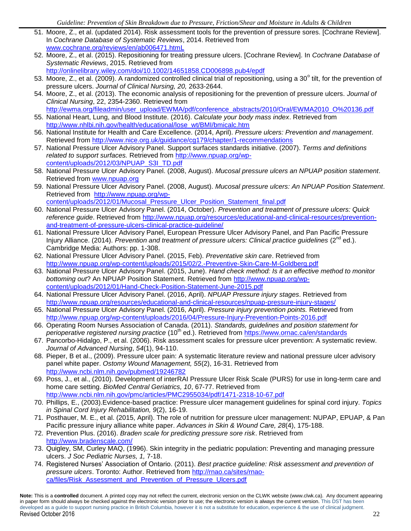- 51. Moore, Z., et al. (updated 2014). Risk assessment tools for the prevention of pressure sores. [Cochrane Review]. In *Cochrane Database of Systematic Reviews*, 2014. Retrieved from [www.cochrane.org/reviews/en/ab006471.htmL](http://www.cochrane.org/reviews/en/ab006471.html)
- 52. Moore, Z., et al. (2015). Repositioning for treating pressure ulcers. [Cochrane Review]. In *Cochrane Database of Systematic Reviews*, 2015. Retrieved from <http://onlinelibrary.wiley.com/doi/10.1002/14651858.CD006898.pub4/epdf>
- 53. Moore, Z., et al. (2009). A randomized controlled clinical trial of repositioning, using a 30° tilt, for the prevention of pressure ulcers. *Journal of Clinical Nursing, 20,* 2633-2644.
- 54. Moore, Z., et al. (2013). The economic analysis of repositioning for the prevention of pressure ulcers. *Journal of Clinical Nursing*, 22, 2354-2360. Retrieved from http://ewma.org/fileadmin/user\_upload/EWMA/pdf/conference\_abstracts/2010/Oral/EWMA2010\_O%20136.pdf
- 55. National Heart, Lung, and Blood Institute. (2016). *Calculate your body mass index*. Retrieved from [http://www.nhlbi.nih.gov/health/educational/lose\\_wt/BMI/bmicalc.htm](http://www.nhlbi.nih.gov/health/educational/lose_wt/BMI/bmicalc.htm)
- 56. National Institute for Health and Care Excellence. (2014, April). *Pressure ulcers: Prevention and management*. Retrieved from<http://www.nice.org.uk/guidance/cg179/chapter/1-recommendations>
- 57. National Pressure Ulcer Advisory Panel. Support surfaces standards initiative. (2007). *Terms and definitions related to support surfaces.* Retrieved from [http://www.npuap.org/wp](http://www.npuap.org/wp-content/uploads/2012/03/NPUAP_S3I_TD.pdf)[content/uploads/2012/03/NPUAP\\_S3I\\_TD.pdf](http://www.npuap.org/wp-content/uploads/2012/03/NPUAP_S3I_TD.pdf)
- 58. National Pressure Ulcer Advisory Panel. (2008, August). *Mucosal pressure ulcers an NPUAP position statement*. Retrieved from [www.npuap.org](http://www.npuap.org/)
- 59. National Pressure Ulcer Advisory Panel. (2008, August). *Mucosal pressure ulcers: An NPUAP Position Statement*. Retrieved from [http://www.npuap.org/wp](http://www.npuap.org/wp-content/uploads/2012/01/Mucosal_Pressure_Ulcer_Position_Statement_final.pdf)[content/uploads/2012/01/Mucosal\\_Pressure\\_Ulcer\\_Position\\_Statement\\_final.pdf](http://www.npuap.org/wp-content/uploads/2012/01/Mucosal_Pressure_Ulcer_Position_Statement_final.pdf)
- 60. National Pressure Ulcer Advisory Panel. (2014, October). *Prevention and treatment of pressure ulcers: Quick reference guide*. Retrieved from [http://www.npuap.org/resources/educational-and-clinical-resources/prevention](http://www.npuap.org/resources/educational-and-clinical-resources/prevention-and-treatment-of-pressure-ulcers-clinical-practice-guideline/)[and-treatment-of-pressure-ulcers-clinical-practice-guideline/](http://www.npuap.org/resources/educational-and-clinical-resources/prevention-and-treatment-of-pressure-ulcers-clinical-practice-guideline/)
- 61. National Pressure Ulcer Advisory Panel, European Pressure Ulcer Advisory Panel, and Pan Pacific Pressure Injury Alliance. (2014). *Prevention and treatment of pressure ulcers: Clinical practice guidelines* (2<sup>nd</sup> ed.). Cambridge Media: Authors: pp. 1-308.
- 62. National Pressure Ulcer Advisory Panel. (2015, Feb). *Preventative skin care*. Retrieved from <http://www.npuap.org/wp-content/uploads/2015/02/2.-Preventive-Skin-Care-M-Goldberg.pdf>
- 63. National Pressure Ulcer Advisory Panel. (2015, June). *Hand check method: Is it an effective method to monitor bottoming out*? An NPUAP Position Statement. Retrieved from [http://www.npuap.org/wp](http://www.npuap.org/wp-content/uploads/2012/01/Hand-Check-Position-Statement-June-2015.pdf)[content/uploads/2012/01/Hand-Check-Position-Statement-June-2015.pdf](http://www.npuap.org/wp-content/uploads/2012/01/Hand-Check-Position-Statement-June-2015.pdf)
- 64. National Pressure Ulcer Advisory Panel. (2016, April). *NPUAP Pressure injury stages*. Retrieved from <http://www.npuap.org/resources/educational-and-clinical-resources/npuap-pressure-injury-stages/>
- 65. National Pressure Ulcer Advisory Panel. (2016, April). *Pressure injury prevention points.* Retrieved from <http://www.npuap.org/wp-content/uploads/2016/04/Pressure-Injury-Prevention-Points-2016.pdf>
- 66. Operating Room Nurses Association of Canada. (2011). *Standards, guidelines and position statement for perioperative registered nursing practice* (10th ed.). Retrieved from<https://www.ornac.ca/en/standards>
- 67. Pancorbo-Hidalgo, P., et al. (2006). Risk assessment scales for pressure ulcer prevention: A systematic review. *Journal of Advanced Nursing*, *54*(1), 94-110.
- 68. Pieper, B et al., (2009). Pressure ulcer pain: A systematic literature review and national pressure ulcer advisory panel white paper. *Ostomy Wound Management, 55*(2), 16-31. Retrieved from <http://www.ncbi.nlm.nih.gov/pubmed/19246782>
- 69. Poss, J., et al., (2010). Development of interRAI Pressure Ulcer Risk Scale (PURS) for use in long-term care and home care setting. *BioMed Central Geriatrics, 10*, 67-77. Retrieved from <http://www.ncbi.nlm.nih.gov/pmc/articles/PMC2955034/pdf/1471-2318-10-67.pdf>
- 70. Phillips, E., (2003).Evidence-based practice: Pressure ulcer management guidelines for spinal cord injury. *Topics in Spinal Cord Injury Rehabilitation, 9*(2), 16-19.
- 71. Posthauer, M. E., et al. (2015, April). The role of nutrition for pressure ulcer management: NUPAP, EPUAP, & Pan Pacific pressure injury alliance white paper. *Advances in Skin & Wound Care, 28*(4), 175-188.
- 72. Prevention Plus. (2016). *Braden scale for predicting pressure sore risk*. Retrieved from <http://www.bradenscale.com/>
- 73. Quigley, SM, Curley MAQ, (1996). Skin integrity in the pediatric population: Preventing and managing pressure ulcers. *J Soc Pediatric Nurses, 1,* 7-18.
- 74. Registered Nurses' Association of Ontario. (2011). *Best practice guideline: Risk assessment and prevention of pressure ulcers*. Toronto: Author. Retrieved from [http://rnao.ca/sites/rnao](http://rnao.ca/sites/rnao-ca/files/Risk_Assessment_and_Prevention_of_Pressure_Ulcers.pdf)ca/files/Risk Assessment and Prevention of Pressure Ulcers.pdf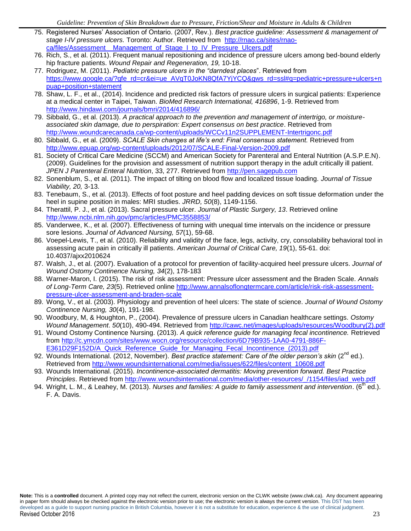- 75. Registered Nurses' Association of Ontario. (2007, Rev.). *Best practice guideline: Assessment & management of stage I-IV pressure ulcers.* Toronto: Author. Retrieved from [http://rnao.ca/sites/rnao](http://rnao.ca/sites/rnao-ca/files/Assessment__Management_of_Stage_I_to_IV_Pressure_Ulcers.pdf)[ca/files/Assessment\\_\\_Management\\_of\\_Stage\\_I\\_to\\_IV\\_Pressure\\_Ulcers.pdf](http://rnao.ca/sites/rnao-ca/files/Assessment__Management_of_Stage_I_to_IV_Pressure_Ulcers.pdf)
- 76. Rich, S., et al. (2011). Frequent manual repositioning and incidence of pressure ulcers among bed-bound elderly hip fracture patients. *Wound Repair and Regeneration, 19,* 10-18.
- 77. Rodriguez, M. (2011). *Pediatric pressure ulcers in the "darndest places*". Retrieved from [https://www.google.ca/?gfe\\_rd=cr&ei=ue\\_AVqT0JoKN8QfA7YjYCQ&gws\\_rd=ssl#q=pediatric+pressure+ulcers+n](https://www.google.ca/?gfe_rd=cr&ei=ue_AVqT0JoKN8QfA7YjYCQ&gws_rd=ssl#q=pediatric+pressure+ulcers+npuap+position+statement) [puap+position+statement](https://www.google.ca/?gfe_rd=cr&ei=ue_AVqT0JoKN8QfA7YjYCQ&gws_rd=ssl#q=pediatric+pressure+ulcers+npuap+position+statement)
- 78. Shaw, L. F., et al., (2014). Incidence and predicted risk factors of pressure ulcers in surgical patients: Experience at a medical center in Taipei, Taiwan. *BioMed Research International, 416896*, 1-9. Retrieved from <http://www.hindawi.com/journals/bmri/2014/416896/>
- 79. Sibbald, G., et al. (2013). *A practical approach to the prevention and management of intertrigo, or moistureassociated skin damage, due to perspiration: Expert consensus on best practice*. Retrieved from <http://www.woundcarecanada.ca/wp-content/uploads/WCCv11n2SUPPLEMENT-Intertrigonc.pdf>
- 80. Sibbald, G., et al. (2009). *SCALE Skin changes at life's end: Final consensus statement.* Retrieved from <http://www.epuap.org/wp-content/uploads/2012/07/SCALE-Final-Version-2009.pdf>
- 81. Society of Critical Care Medicine (SCCM) and American Society for Parenteral and Enteral Nutrition (A.S.P.E.N). (2009). Guidelines for the provision and assessment of nutrition support therapy in the adult critically ill patient. *JPEN J Parenteral Enteral Nutrition*, 33, 277. Retrieved from [http://pen.sagepub.com](http://pen.sagepub.com/)
- 82. Sonenblum, S., et al. (2011). The impact of tilting on blood flow and localized tissue loading. *Journal of Tissue Viability, 20,* 3-13.
- 83. Tenebaum, S., et al. (2013). Effects of foot posture and heel padding devices on soft tissue deformation under the heel in supine position in males: MRI studies. *JRRD, 50*(8), 1149-1156.
- 84. Therattil, P. J., et al. (2013). Sacral pressure ulcer. *Journal of Plastic Surgery, 13*. Retrieved online <http://www.ncbi.nlm.nih.gov/pmc/articles/PMC3558853/>
- 85. Vanderwee, K., et al. (2007). Effectiveness of turning with unequal time intervals on the incidence or pressure sore lesions. *Journal of Advanced Nursing, 57*(1), 59-68.
- 86. Voepel-Lewis, T., et al. (2010). Reliability and validity of the face, legs, activity, cry, consolability behavioral tool in assessing acute pain in critically ill patients. *American Journal of Critical Care, 19*(1), 55-61. doi: 10.4037/ajxx2010624
- 87. Walsh, J., et al. (2007). Evaluation of a protocol for prevention of facility-acquired heel pressure ulcers. *Journal of Wound Ostomy Continence Nursing, 34*(2), 178-183
- 88. Warner-Maron, I. (2015). The risk of risk assessment: Pressure ulcer assessment and the Braden Scale. *Annals of Long-Term Care, 23*(5). Retrieved online [http://www.annalsoflongtermcare.com/article/risk-risk-assessment](http://www.annalsoflongtermcare.com/article/risk-risk-assessment-pressure-ulcer-assessment-and-braden-scale)[pressure-ulcer-assessment-and-braden-scale](http://www.annalsoflongtermcare.com/article/risk-risk-assessment-pressure-ulcer-assessment-and-braden-scale)
- 89. Wong, V., et al. (2003). Physiology and prevention of heel ulcers: The state of science. *Journal of Wound Ostomy Continence Nursing, 30*(4), 191-198.
- 90. Woodbury, M, & Houghton, P., (2004). Prevalence of pressure ulcers in Canadian healthcare settings. *Ostomy Wound Management*. *50*(10), 490-494. Retrieved from [http://cawc.net/images/uploads/resources/Woodbury\(2\).pdf](http://cawc.net/images/uploads/resources/Woodbury(2).pdf)
- 91. Wound Ostomy Continence Nursing. (2013). *A quick reference guide for managing fecal incontinence.* Retrieved from [http://c.ymcdn.com/sites/www.wocn.org/resource/collection/6D79B935-1AA0-4791-886F-](http://c.ymcdn.com/sites/www.wocn.org/resource/collection/6D79B935-1AA0-4791-886F-E361D29F152D/A_Quick_Reference_Guide_for_Managing_Fecal_Incontinence_(2013).pdf)[E361D29F152D/A\\_Quick\\_Reference\\_Guide\\_for\\_Managing\\_Fecal\\_Incontinence\\_\(2013\).pdf](http://c.ymcdn.com/sites/www.wocn.org/resource/collection/6D79B935-1AA0-4791-886F-E361D29F152D/A_Quick_Reference_Guide_for_Managing_Fecal_Incontinence_(2013).pdf)
- 92. Wounds International. (2012, November). *Best practice statement: Care of the older person's skin* (2<sup>nd</sup> ed.). Retrieved from [http://www.woundsinternational.com/media/issues/622/files/content\\_10608.pdf](http://www.woundsinternational.com/media/issues/622/files/content_10608.pdf)
- 93. Wounds International. (2015). *Incontinence-associated dermatitis: Moving prevention forward. Best Practice Principles*. Retrieved from [http://www.woundsinternational.com/media/other-resources/\\_/1154/files/iad\\_web.pdf](http://www.woundsinternational.com/media/other-resources/_/1154/files/iad_web.pdf)
- 94. Wright, L. M., & Leahey, M. (2013). *Nurses and families: A guide to family assessment and intervention*. (6<sup>th</sup> ed.). F. A. Davis.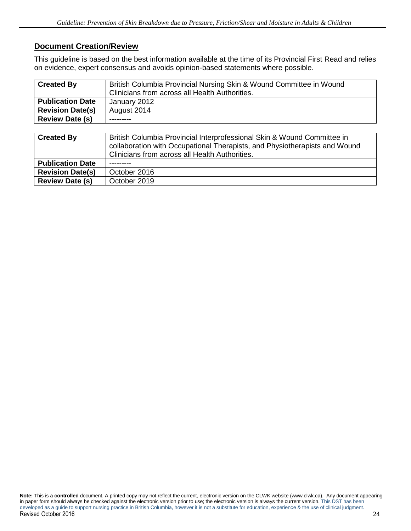# **Document Creation/Review**

This guideline is based on the best information available at the time of its Provincial First Read and relies on evidence, expert consensus and avoids opinion-based statements where possible.

| <b>Created By</b>       | British Columbia Provincial Nursing Skin & Wound Committee in Wound<br>Clinicians from across all Health Authorities. |  |  |
|-------------------------|-----------------------------------------------------------------------------------------------------------------------|--|--|
| <b>Publication Date</b> | January 2012                                                                                                          |  |  |
| <b>Revision Date(s)</b> | August 2014                                                                                                           |  |  |
| <b>Review Date (s)</b>  |                                                                                                                       |  |  |

| <b>Created By</b>       | British Columbia Provincial Interprofessional Skin & Wound Committee in<br>collaboration with Occupational Therapists, and Physiotherapists and Wound<br>Clinicians from across all Health Authorities. |  |  |
|-------------------------|---------------------------------------------------------------------------------------------------------------------------------------------------------------------------------------------------------|--|--|
| <b>Publication Date</b> |                                                                                                                                                                                                         |  |  |
| <b>Revision Date(s)</b> | October 2016                                                                                                                                                                                            |  |  |
| <b>Review Date (s)</b>  | October 2019                                                                                                                                                                                            |  |  |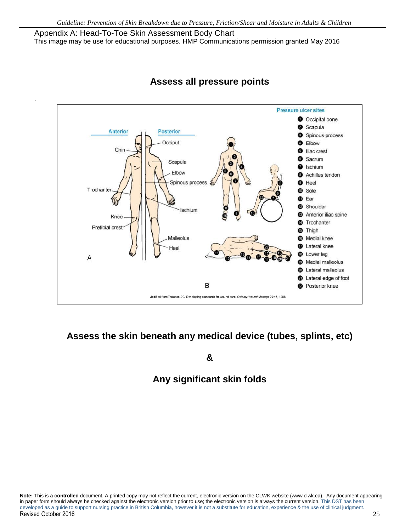Appendix A: Head-To-Toe Skin Assessment Body Chart This image may be use for educational purposes. HMP Communications permission granted May 2016

.



# **Assess all pressure points**

# **Assess the skin beneath any medical device (tubes, splints, etc)**

**&**

# **Any significant skin folds**